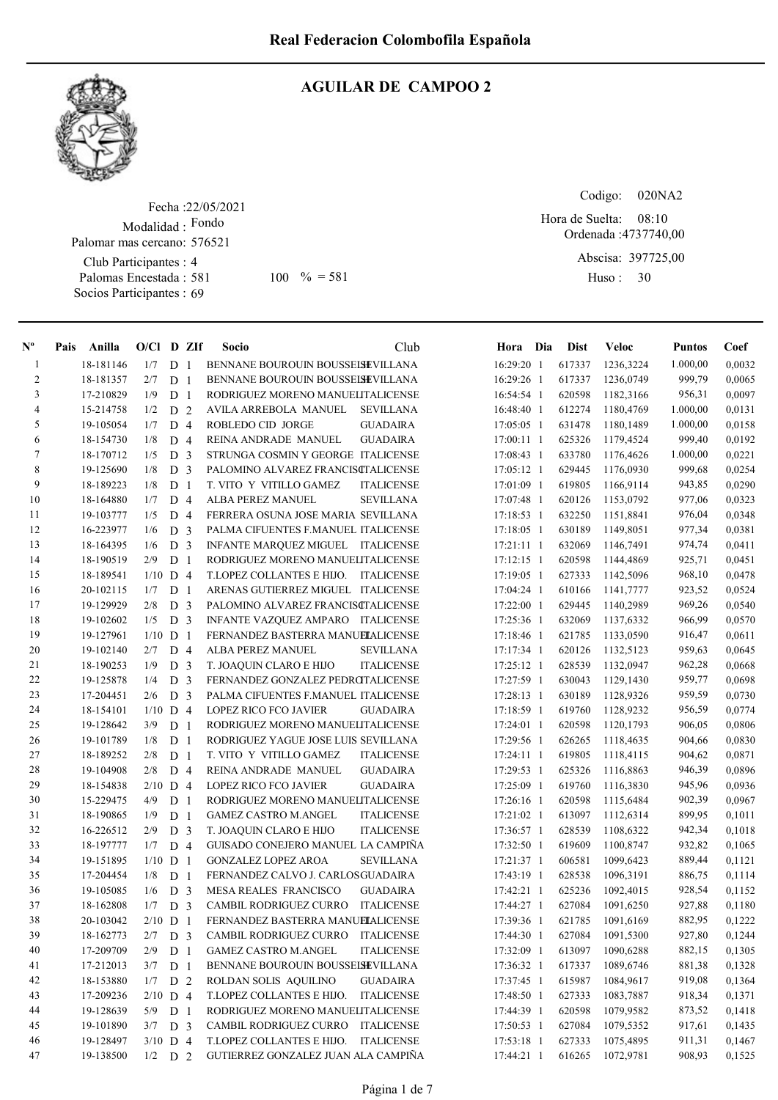

# AGUILAR DE CAMPOO 2

Fecha : 22/05/2021 Modalidad : Fondo Club Participantes : 4 Palomas Encestada : 581 Socios Participantes : 69 Palomar mas cercano: 576521

Codigo: 020NA2

Ordenada : 4737740,00 Abscisa: 397725,00 Huso: 30 08:10 581 100 % = 581 Huso: 30 Hora de Suelta:

| $N^{\circ}$    | Pais | Anilla    | $O/Cl$ D ZIf |                     |     | Socio                                                           | Club              | Hora Dia     | <b>Dist</b>      | Veloc     | <b>Puntos</b> | Coef             |
|----------------|------|-----------|--------------|---------------------|-----|-----------------------------------------------------------------|-------------------|--------------|------------------|-----------|---------------|------------------|
| $\mathbf{1}$   |      | 18-181146 | 1/7          | D <sub>1</sub>      |     | BENNANE BOUROUIN BOUSSEISEVILLANA                               |                   | 16:29:20 1   | 617337           | 1236,3224 | 1.000,00      | 0,0032           |
| $\overline{c}$ |      | 18-181357 | 2/7          | D <sub>1</sub>      |     | BENNANE BOUROUIN BOUSSEISEVILLANA                               |                   | 16:29:26 1   | 617337           | 1236,0749 | 999,79        | 0,0065           |
| 3              |      | 17-210829 | 1/9          | D <sub>1</sub>      |     | RODRIGUEZ MORENO MANUELITALICENSE                               |                   | 16:54:54 1   | 620598           | 1182,3166 | 956,31        | 0,0097           |
| 4              |      | 15-214758 | 1/2          | D <sub>2</sub>      |     | AVILA ARREBOLA MANUEL                                           | <b>SEVILLANA</b>  | 16:48:40 1   | 612274           | 1180,4769 | 1.000,00      | 0,0131           |
| 5              |      | 19-105054 | 1/7          | D <sub>4</sub>      |     | ROBLEDO CID JORGE                                               | <b>GUADAIRA</b>   | 17:05:05 1   | 631478           | 1180,1489 | 1.000,00      | 0,0158           |
| 6              |      | 18-154730 | 1/8          | D <sub>4</sub>      |     | REINA ANDRADE MANUEL                                            | <b>GUADAIRA</b>   | 17:00:11 1   | 625326           | 1179,4524 | 999,40        | 0,0192           |
| 7              |      | 18-170712 | 1/5          | D <sub>3</sub>      |     | STRUNGA COSMIN Y GEORGE ITALICENSE                              |                   | 17:08:43 1   | 633780           | 1176,4626 | 1.000,00      | 0,0221           |
| $\,8\,$        |      | 19-125690 | 1/8          | D <sub>3</sub>      |     | PALOMINO ALVAREZ FRANCISCTALICENSE                              |                   | 17:05:12 1   | 629445           | 1176,0930 | 999,68        | 0,0254           |
| 9              |      | 18-189223 | 1/8          | D <sub>1</sub>      |     | T. VITO Y VITILLO GAMEZ                                         | <b>ITALICENSE</b> | 17:01:09 1   | 619805           | 1166,9114 | 943,85        | 0,0290           |
| 10             |      | 18-164880 | 1/7          | D <sub>4</sub>      |     | ALBA PEREZ MANUEL                                               | <b>SEVILLANA</b>  | 17:07:48 1   | 620126           | 1153,0792 | 977,06        | 0,0323           |
| 11             |      | 19-103777 | 1/5          | D <sub>4</sub>      |     | FERRERA OSUNA JOSE MARIA SEVILLANA                              |                   | $17:18:53$ 1 | 632250           | 1151,8841 | 976,04        | 0,0348           |
| 12             |      | 16-223977 | 1/6          | D <sub>3</sub>      |     | PALMA CIFUENTES F.MANUEL ITALICENSE                             |                   | 17:18:05 1   | 630189           | 1149,8051 | 977,34        | 0,0381           |
| 13             |      | 18-164395 | 1/6          | D <sub>3</sub>      |     | INFANTE MARQUEZ MIGUEL ITALICENSE                               |                   | $17:21:11$ 1 | 632069           | 1146,7491 | 974,74        | 0,0411           |
| 14             |      | 18-190519 | 2/9          | D <sub>1</sub>      |     | RODRIGUEZ MORENO MANUELITALICENSE                               |                   | 17:12:15 1   | 620598           | 1144,4869 | 925,71        | 0,0451           |
| 15             |      | 18-189541 | $1/10$ D 4   |                     |     | T.LOPEZ COLLANTES E HIJO. ITALICENSE                            |                   | 17:19:05 1   | 627333           | 1142,5096 | 968,10        | 0,0478           |
| 16             |      | 20-102115 | 1/7          | D <sub>1</sub>      |     | ARENAS GUTIERREZ MIGUEL ITALICENSE                              |                   | 17:04:24 1   | 610166           | 1141,7777 | 923,52        | 0,0524           |
| 17             |      | 19-129929 | 2/8          | D <sub>3</sub>      |     | PALOMINO ALVAREZ FRANCISCTALICENSE                              |                   | 17:22:00 1   | 629445           | 1140,2989 | 969,26        | 0,0540           |
| 18             |      | 19-102602 | 1/5          | D <sub>3</sub>      |     | INFANTE VAZQUEZ AMPARO ITALICENSE                               |                   | 17:25:36 1   | 632069           | 1137,6332 | 966,99        | 0,0570           |
| 19             |      | 19-127961 | $1/10$ D 1   |                     |     | FERNANDEZ BASTERRA MANUELALICENSE                               |                   | 17:18:46 1   | 621785           | 1133,0590 | 916,47        | 0,0611           |
| 20             |      | 19-102140 | 2/7          | D <sub>4</sub>      |     | ALBA PEREZ MANUEL                                               | <b>SEVILLANA</b>  | 17:17:34 1   | 620126           | 1132,5123 | 959,63        | 0,0645           |
| 21             |      | 18-190253 | 1/9          | D <sub>3</sub>      |     | T. JOAQUIN CLARO E HIJO                                         | <b>ITALICENSE</b> | 17:25:12 1   | 628539           | 1132,0947 | 962,28        | 0,0668           |
| $22\,$         |      | 19-125878 | 1/4          | D <sub>3</sub>      |     | FERNANDEZ GONZALEZ PEDROTALICENSE                               |                   | 17:27:59 1   | 630043           | 1129,1430 | 959,77        | 0,0698           |
| 23             |      | 17-204451 | 2/6          | D <sub>3</sub>      |     | PALMA CIFUENTES F.MANUEL ITALICENSE                             |                   | 17:28:13 1   | 630189           | 1128,9326 | 959,59        | 0,0730           |
| 24             |      | 18-154101 | $1/10$ D 4   |                     |     | <b>LOPEZ RICO FCO JAVIER</b>                                    | <b>GUADAIRA</b>   | 17:18:59 1   | 619760           | 1128,9232 | 956,59        | 0,0774           |
| 25             |      | 19-128642 | 3/9          | D <sub>1</sub>      |     | RODRIGUEZ MORENO MANUELITALICENSE                               |                   | $17:24:01$ 1 | 620598           | 1120,1793 | 906,05        | 0,0806           |
| 26             |      | 19-101789 | 1/8          | D <sub>1</sub>      |     | RODRIGUEZ YAGUE JOSE LUIS SEVILLANA                             |                   | 17:29:56 1   | 626265           | 1118,4635 | 904,66        | 0,0830           |
| 27             |      | 18-189252 | 2/8          | D <sub>1</sub>      |     | T. VITO Y VITILLO GAMEZ                                         | <b>ITALICENSE</b> | $17:24:11$ 1 | 619805           | 1118,4115 | 904,62        | 0,0871           |
| $28\,$         |      | 19-104908 | 2/8          | D <sub>4</sub>      |     | REINA ANDRADE MANUEL                                            | <b>GUADAIRA</b>   | 17:29:53 1   | 625326           | 1116,8863 | 946,39        | 0,0896           |
| 29             |      | 18-154838 | $2/10$ D 4   |                     |     | LOPEZ RICO FCO JAVIER                                           | GUADAIRA          | 17:25:09 1   | 619760           | 1116,3830 | 945,96        | 0,0936           |
| 30             |      | 15-229475 | 4/9          | D <sub>1</sub>      |     | RODRIGUEZ MORENO MANUELITALICENSE                               |                   | 17:26:16 1   | 620598           | 1115,6484 | 902,39        | 0,0967           |
| 31             |      | 18-190865 | 1/9          | D <sub>1</sub>      |     | <b>GAMEZ CASTRO M.ANGEL</b>                                     | <b>ITALICENSE</b> | 17:21:02 1   | 613097           | 1112,6314 | 899,95        | 0,1011           |
| 32             |      | 16-226512 | 2/9          | D <sub>3</sub>      |     | T. JOAQUIN CLARO E HIJO                                         | <b>ITALICENSE</b> | 17:36:57 1   | 628539           | 1108,6322 | 942,34        | 0,1018           |
| 33             |      | 18-197777 | 1/7          | D <sub>4</sub>      |     | GUISADO CONEJERO MANUEL LA CAMPIÑA                              |                   | 17:32:50 1   | 619609           | 1100,8747 | 932,82        | 0,1065           |
| 34             |      | 19-151895 | $1/10$ D 1   |                     |     |                                                                 | <b>SEVILLANA</b>  |              |                  | 1099,6423 | 889,44        |                  |
| 35             |      | 17-204454 | 1/8          |                     |     | <b>GONZALEZ LOPEZ AROA</b><br>FERNANDEZ CALVO J. CARLOSGUADAIRA |                   | 17:21:37 1   | 606581<br>628538 | 1096,3191 | 886,75        | 0,1121<br>0,1114 |
| 36             |      | 19-105085 |              | D<br>D <sub>3</sub> | - 1 |                                                                 | <b>GUADAIRA</b>   | 17:43:19 1   | 625236           | 1092,4015 | 928,54        | 0,1152           |
| 37             |      | 18-162808 | 1/6          |                     |     | MESA REALES FRANCISCO<br>CAMBIL RODRIGUEZ CURRO                 |                   | 17:42:21 1   | 627084           |           | 927,88        | 0,1180           |
|                |      |           | 1/7          | D <sub>3</sub>      |     |                                                                 | <b>ITALICENSE</b> | 17:44:27 1   |                  | 1091,6250 |               |                  |
| 38             |      | 20-103042 | $2/10$ D 1   |                     |     | FERNANDEZ BASTERRA MANUELALICENSE                               |                   | 17:39:36 1   | 621785           | 1091,6169 | 882,95        | 0,1222           |
| 39             |      | 18-162773 | $2/7$ D 3    |                     |     | CAMBIL RODRIGUEZ CURRO                                          | <b>ITALICENSE</b> | 17:44:30 1   | 627084           | 1091,5300 | 927,80        | 0,1244           |
| $40\,$         |      | 17-209709 | 2/9          | D <sub>1</sub>      |     | <b>GAMEZ CASTRO M.ANGEL</b>                                     | <b>ITALICENSE</b> | 17:32:09 1   | 613097           | 1090,6288 | 882,15        | 0,1305           |
| 41             |      | 17-212013 | 3/7          | D 1                 |     | BENNANE BOUROUIN BOUSSEISEVILLANA                               |                   | 17:36:32 1   | 617337           | 1089,6746 | 881,38        | 0,1328           |
| $42\,$         |      | 18-153880 | 1/7          | D 2                 |     | ROLDAN SOLIS AQUILINO                                           | <b>GUADAIRA</b>   | 17:37:45 1   | 615987           | 1084,9617 | 919,08        | 0,1364           |
| 43             |      | 17-209236 | $2/10$ D 4   |                     |     | T.LOPEZ COLLANTES E HIJO.                                       | <b>ITALICENSE</b> | 17:48:50 1   | 627333           | 1083,7887 | 918,34        | 0,1371           |
| 44             |      | 19-128639 | 5/9          | D 1                 |     | RODRIGUEZ MORENO MANUELITALICENSE                               |                   | 17:44:39 1   | 620598           | 1079,9582 | 873,52        | 0,1418           |
| 45             |      | 19-101890 | $3/7$ D 3    |                     |     | CAMBIL RODRIGUEZ CURRO                                          | <b>ITALICENSE</b> | 17:50:53 1   | 627084           | 1079,5352 | 917,61        | 0,1435           |
| 46             |      | 19-128497 | $3/10$ D 4   |                     |     | T.LOPEZ COLLANTES E HIJO.                                       | <b>ITALICENSE</b> | 17:53:18 1   | 627333           | 1075,4895 | 911,31        | 0,1467           |
| 47             |      | 19-138500 | $1/2$ D 2    |                     |     | GUTIERREZ GONZALEZ JUAN ALA CAMPIÑA                             |                   | 17:44:21 1   | 616265           | 1072,9781 | 908,93        | 0,1525           |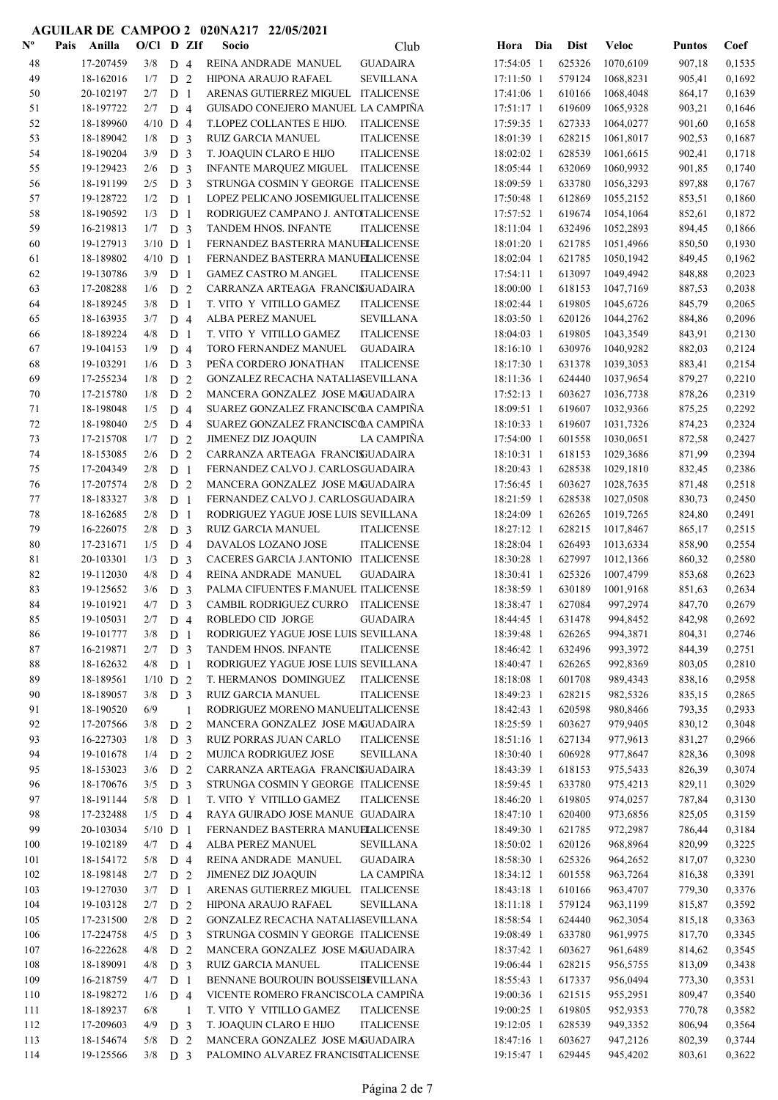| $\mathbf{N}^{\mathbf{o}}$ | Pais<br>Anilla | O/Cl D ZIf |                |    | Socio                                | Club              | Hora Dia     | <b>Dist</b> | Veloc     | <b>Puntos</b> | Coef   |
|---------------------------|----------------|------------|----------------|----|--------------------------------------|-------------------|--------------|-------------|-----------|---------------|--------|
| 48                        | 17-207459      | 3/8        | D <sub>4</sub> |    | REINA ANDRADE MANUEL                 | <b>GUADAIRA</b>   | 17:54:05 1   | 625326      | 1070,6109 | 907,18        | 0,1535 |
| 49                        | 18-162016      | 1/7        | D <sub>2</sub> |    | HIPONA ARAUJO RAFAEL                 | <b>SEVILLANA</b>  | 17:11:50 1   | 579124      | 1068,8231 | 905,41        | 0,1692 |
| 50                        | 20-102197      | 2/7        | D <sub>1</sub> |    | ARENAS GUTIERREZ MIGUEL ITALICENSE   |                   | 17:41:06 1   | 610166      | 1068,4048 | 864,17        | 0,1639 |
| 51                        | 18-197722      | 2/7        | D <sub>4</sub> |    | GUISADO CONEJERO MANUEL LA CAMPIÑA   |                   | $17:51:17$ 1 | 619609      | 1065,9328 | 903,21        | 0,1646 |
| 52                        | 18-189960      | $4/10$ D 4 |                |    | T.LOPEZ COLLANTES E HIJO.            | <b>ITALICENSE</b> | 17:59:35 1   | 627333      | 1064,0277 | 901,60        | 0,1658 |
| 53                        | 18-189042      | 1/8        | D <sub>3</sub> |    | RUIZ GARCIA MANUEL                   | <b>ITALICENSE</b> | 18:01:39 1   | 628215      | 1061,8017 | 902,53        | 0,1687 |
| 54                        | 18-190204      | 3/9        | D <sub>3</sub> |    | T. JOAQUIN CLARO E HIJO              | <b>ITALICENSE</b> | 18:02:02 1   | 628539      | 1061,6615 | 902,41        | 0,1718 |
| 55                        | 19-129423      | 2/6        | D <sub>3</sub> |    | INFANTE MARQUEZ MIGUEL ITALICENSE    |                   | 18:05:44 1   | 632069      | 1060,9932 | 901,85        | 0,1740 |
| 56                        | 18-191199      | 2/5        | D <sub>3</sub> |    | STRUNGA COSMIN Y GEORGE ITALICENSE   |                   | 18:09:59 1   | 633780      | 1056,3293 | 897,88        | 0,1767 |
| 57                        | 19-128722      | 1/2        | D <sub>1</sub> |    | LOPEZ PELICANO JOSEMIGUEL ITALICENSE |                   | 17:50:48 1   | 612869      | 1055,2152 | 853,51        | 0,1860 |
| 58                        | 18-190592      | 1/3        | D <sub>1</sub> |    | RODRIGUEZ CAMPANO J. ANTOTALICENSE   |                   | 17:57:52 1   | 619674      | 1054,1064 | 852,61        | 0,1872 |
| 59                        | 16-219813      | $1/7$ D 3  |                |    | TANDEM HNOS. INFANTE                 | <b>ITALICENSE</b> | 18:11:04 1   | 632496      | 1052,2893 | 894,45        | 0,1866 |
| 60                        | 19-127913      | $3/10$ D 1 |                |    | FERNANDEZ BASTERRA MANUELALICENSE    |                   | 18:01:20 1   | 621785      | 1051,4966 | 850,50        | 0,1930 |
| 61                        | 18-189802      | $4/10$ D 1 |                |    | FERNANDEZ BASTERRA MANUELALICENSE    |                   | 18:02:04 1   | 621785      | 1050,1942 | 849,45        | 0,1962 |
| 62                        | 19-130786      | 3/9        | D <sub>1</sub> |    | <b>GAMEZ CASTRO M.ANGEL</b>          | <b>ITALICENSE</b> | 17:54:11 1   | 613097      | 1049,4942 | 848,88        | 0,2023 |
| 63                        | 17-208288      | 1/6        | D <sub>2</sub> |    | CARRANZA ARTEAGA FRANCISUADAIRA      |                   | 18:00:00 1   | 618153      | 1047,7169 | 887,53        | 0,2038 |
| 64                        | 18-189245      | 3/8        | D <sub>1</sub> |    | T. VITO Y VITILLO GAMEZ              | <b>ITALICENSE</b> | 18:02:44 1   | 619805      | 1045,6726 | 845,79        | 0,2065 |
| 65                        | 18-163935      | 3/7        | D <sub>4</sub> |    | ALBA PEREZ MANUEL                    | <b>SEVILLANA</b>  | 18:03:50 1   | 620126      | 1044,2762 | 884,86        | 0,2096 |
| 66                        | 18-189224      | 4/8        | D <sub>1</sub> |    | T. VITO Y VITILLO GAMEZ              | <b>ITALICENSE</b> | $18:04:03$ 1 | 619805      | 1043,3549 | 843,91        | 0,2130 |
| 67                        | 19-104153      | 1/9        | D <sub>4</sub> |    | TORO FERNANDEZ MANUEL                | <b>GUADAIRA</b>   | 18:16:10 1   | 630976      | 1040,9282 | 882,03        | 0,2124 |
| 68                        | 19-103291      | 1/6        | D <sub>3</sub> |    | PEÑA CORDERO JONATHAN                | <b>ITALICENSE</b> | 18:17:30 1   | 631378      | 1039,3053 | 883,41        | 0,2154 |
| 69                        | 17-255234      | 1/8        | D <sub>2</sub> |    | GONZALEZ RECACHA NATALIASEVILLANA    |                   | 18:11:36 1   | 624440      | 1037,9654 | 879,27        | 0,2210 |
| 70                        | 17-215780      | 1/8        | D <sub>2</sub> |    | MANCERA GONZALEZ JOSE MAGUADAIRA     |                   | 17:52:13 1   | 603627      | 1036,7738 | 878,26        | 0,2319 |
| 71                        | 18-198048      | 1/5        | D <sub>4</sub> |    | SUAREZ GONZALEZ FRANCISCOA CAMPIÑA   |                   | 18:09:51 1   | 619607      | 1032,9366 | 875,25        | 0,2292 |
| 72                        | 18-198040      | 2/5        | D <sub>4</sub> |    | SUAREZ GONZALEZ FRANCISCOA CAMPIÑA   |                   | 18:10:33 1   | 619607      | 1031,7326 | 874,23        | 0,2324 |
| 73                        | 17-215708      | 1/7        | D <sub>2</sub> |    | JIMENEZ DIZ JOAQUIN                  | LA CAMPIÑA        | 17:54:00 1   | 601558      | 1030,0651 | 872,58        | 0,2427 |
| 74                        | 18-153085      | 2/6        | D <sub>2</sub> |    | CARRANZA ARTEAGA FRANCISUADAIRA      |                   | 18:10:31 1   | 618153      | 1029,3686 | 871,99        | 0,2394 |
| 75                        | 17-204349      | 2/8        | D <sub>1</sub> |    | FERNANDEZ CALVO J. CARLOSGUADAIRA    |                   | 18:20:43 1   | 628538      | 1029,1810 | 832,45        | 0,2386 |
| 76                        | 17-207574      | 2/8        | D <sub>2</sub> |    | MANCERA GONZALEZ JOSE MAGUADAIRA     |                   | 17:56:45 1   | 603627      | 1028,7635 | 871,48        | 0,2518 |
| 77                        | 18-183327      | 3/8        | D <sub>1</sub> |    | FERNANDEZ CALVO J. CARLOSGUADAIRA    |                   | 18:21:59 1   | 628538      | 1027,0508 | 830,73        | 0,2450 |
| 78                        | 18-162685      | 2/8        | D <sub>1</sub> |    | RODRIGUEZ YAGUE JOSE LUIS SEVILLANA  |                   | 18:24:09 1   | 626265      | 1019,7265 | 824,80        | 0,2491 |
| 79                        | 16-226075      | 2/8        | D <sub>3</sub> |    | <b>RUIZ GARCIA MANUEL</b>            | <b>ITALICENSE</b> | 18:27:12 1   | 628215      | 1017,8467 | 865,17        | 0,2515 |
| 80                        | 17-231671      | 1/5        | D <sub>4</sub> |    | DAVALOS LOZANO JOSE                  | <b>ITALICENSE</b> | 18:28:04 1   | 626493      | 1013,6334 | 858,90        | 0,2554 |
| 81                        | 20-103301      | 1/3        | D <sub>3</sub> |    | CACERES GARCIA J.ANTONIO ITALICENSE  |                   | 18:30:28 1   | 627997      | 1012,1366 | 860,32        | 0,2580 |
| 82                        | 19-112030      | 4/8        | D <sub>4</sub> |    | REINA ANDRADE MANUEL                 | <b>GUADAIRA</b>   | 18:30:41 1   | 625326      | 1007,4799 | 853,68        | 0,2623 |
| 83                        | 19-125652      | 3/6        | D <sub>3</sub> |    | PALMA CIFUENTES F.MANUEL ITALICENSE  |                   | 18:38:59 1   | 630189      | 1001,9168 | 851,63        | 0,2634 |
| 84                        | 19-101921      | 4/7        | D <sub>3</sub> |    | CAMBIL RODRIGUEZ CURRO               | <b>ITALICENSE</b> | 18:38:47 1   | 627084      | 997,2974  | 847,70        | 0,2679 |
| 85                        | 19-105031      | 2/7        | D <sub>4</sub> |    | ROBLEDO CID JORGE                    | <b>GUADAIRA</b>   | 18:44:45 1   | 631478      | 994,8452  | 842,98        | 0,2692 |
| 86                        | 19-101777      | 3/8        | D <sub>1</sub> |    | RODRIGUEZ YAGUE JOSE LUIS SEVILLANA  |                   | 18:39:48 1   | 626265      | 994,3871  | 804,31        | 0,2746 |
| 87                        | 16-219871      | 2/7        | D <sub>3</sub> |    | TANDEM HNOS. INFANTE                 | <b>ITALICENSE</b> | 18:46:42 1   | 632496      | 993,3972  | 844,39        | 0,2751 |
| 88                        | 18-162632      | $4/8$ D 1  |                |    | RODRIGUEZ YAGUE JOSE LUIS SEVILLANA  |                   | 18:40:47 1   | 626265      | 992,8369  | 803,05        | 0,2810 |
| 89                        | 18-189561      | $1/10$ D 2 |                |    | T. HERMANOS DOMINGUEZ                | <b>ITALICENSE</b> | 18:18:08 1   | 601708      | 989,4343  | 838,16        | 0,2958 |
| 90                        | 18-189057      | $3/8$ D 3  |                |    | RUIZ GARCIA MANUEL                   | <b>ITALICENSE</b> | 18:49:23 1   | 628215      | 982,5326  | 835,15        | 0,2865 |
| 91                        | 18-190520      | 6/9        |                | 1  | RODRIGUEZ MORENO MANUELITALICENSE    |                   | 18:42:43 1   | 620598      | 980,8466  | 793,35        | 0,2933 |
| 92                        | 17-207566      | 3/8        | D 2            |    | MANCERA GONZALEZ JOSE MAGUADAIRA     |                   | 18:25:59 1   | 603627      | 979,9405  | 830,12        | 0,3048 |
| 93                        | 16-227303      | 1/8        | D <sub>3</sub> |    | RUIZ PORRAS JUAN CARLO               | <b>ITALICENSE</b> | 18:51:16 1   | 627134      | 977,9613  | 831,27        | 0,2966 |
| 94                        | 19-101678      | 1/4        | D 2            |    | MUJICA RODRIGUEZ JOSE                | <b>SEVILLANA</b>  | 18:30:40 1   | 606928      | 977,8647  | 828,36        | 0,3098 |
| 95                        | 18-153023      | 3/6        | D 2            |    | CARRANZA ARTEAGA FRANCISJUADAIRA     |                   | 18:43:39 1   | 618153      | 975,5433  | 826,39        | 0,3074 |
| 96                        | 18-170676      | 3/5        | D <sub>3</sub> |    | STRUNGA COSMIN Y GEORGE ITALICENSE   |                   | 18:59:45 1   | 633780      | 975,4213  | 829,11        | 0,3029 |
| 97                        | 18-191144      | 5/8        | D <sub>1</sub> |    | T. VITO Y VITILLO GAMEZ              | <b>ITALICENSE</b> | 18:46:20 1   | 619805      | 974,0257  | 787,84        | 0,3130 |
| 98                        | 17-232488      | $1/5$ D 4  |                |    | RAYA GUIRADO JOSE MANUE GUADAIRA     |                   | 18:47:10 1   | 620400      | 973,6856  | 825,05        | 0,3159 |
| 99                        | 20-103034      | $5/10$ D 1 |                |    | FERNANDEZ BASTERRA MANUELALICENSE    |                   | 18:49:30 1   | 621785      | 972,2987  | 786,44        | 0,3184 |
| 100                       | 19-102189      | $4/7$ D 4  |                |    | ALBA PEREZ MANUEL                    | <b>SEVILLANA</b>  | 18:50:02 1   | 620126      | 968,8964  | 820,99        | 0,3225 |
| 101                       | 18-154172      | $5/8$ D 4  |                |    | REINA ANDRADE MANUEL                 | <b>GUADAIRA</b>   | 18:58:30 1   | 625326      | 964,2652  | 817,07        | 0,3230 |
| 102                       | 18-198148      | $2/7$ D 2  |                |    | <b>JIMENEZ DIZ JOAQUIN</b>           | LA CAMPIÑA        | 18:34:12 1   | 601558      | 963,7264  | 816,38        | 0,3391 |
| 103                       | 19-127030      | 3/7        | D <sub>1</sub> |    | ARENAS GUTIERREZ MIGUEL ITALICENSE   |                   | 18:43:18 1   | 610166      | 963,4707  | 779,30        | 0,3376 |
| 104                       | 19-103128      | 2/7        | D <sub>2</sub> |    | HIPONA ARAUJO RAFAEL                 | <b>SEVILLANA</b>  | 18:11:18 1   | 579124      | 963,1199  | 815,87        | 0,3592 |
| 105                       | 17-231500      | 2/8        | D <sub>2</sub> |    | GONZALEZ RECACHA NATALIASEVILLANA    |                   | 18:58:54 1   | 624440      | 962,3054  | 815,18        | 0,3363 |
| 106                       | 17-224758      | 4/5        | D 3            |    | STRUNGA COSMIN Y GEORGE ITALICENSE   |                   | 19:08:49 1   | 633780      | 961,9975  | 817,70        | 0,3345 |
| 107                       | 16-222628      | $4/8$ D 2  |                |    | MANCERA GONZALEZ JOSE MAGUADAIRA     |                   | 18:37:42 1   | 603627      | 961,6489  | 814,62        | 0,3545 |
| 108                       | 18-189091      | 4/8        | D <sub>3</sub> |    | RUIZ GARCIA MANUEL                   | <b>ITALICENSE</b> | 19:06:44 1   | 628215      | 956,5755  | 813,09        | 0,3438 |
| 109                       | 16-218759      | 4/7        | D <sub>1</sub> |    | BENNANE BOUROUIN BOUSSEISEVILLANA    |                   | 18:55:43 1   | 617337      | 956,0494  | 773,30        | 0,3531 |
| 110                       | 18-198272      | 1/6        | D <sub>4</sub> |    | VICENTE ROMERO FRANCISCOLA CAMPIÑA   |                   | 19:00:36 1   | 621515      | 955,2951  | 809,47        | 0,3540 |
| 111                       | 18-189237      | 6/8        |                | -1 | T. VITO Y VITILLO GAMEZ              | <b>ITALICENSE</b> | 19:00:25 1   | 619805      | 952,9353  | 770,78        | 0,3582 |
| 112                       | 17-209603      | 4/9        | D <sub>3</sub> |    | T. JOAQUIN CLARO E HIJO              | <b>ITALICENSE</b> | 19:12:05 1   | 628539      | 949,3352  | 806,94        | 0,3564 |
| 113                       | 18-154674      | 5/8        | D 2            |    | MANCERA GONZALEZ JOSE MAGUADAIRA     |                   | 18:47:16 1   | 603627      | 947,2126  | 802,39        | 0,3744 |
| 114                       | 19-125566      | $3/8$ D 3  |                |    | PALOMINO ALVAREZ FRANCISCTALICENSE   |                   | 19:15:47 1   | 629445      | 945,4202  | 803,61        | 0,3622 |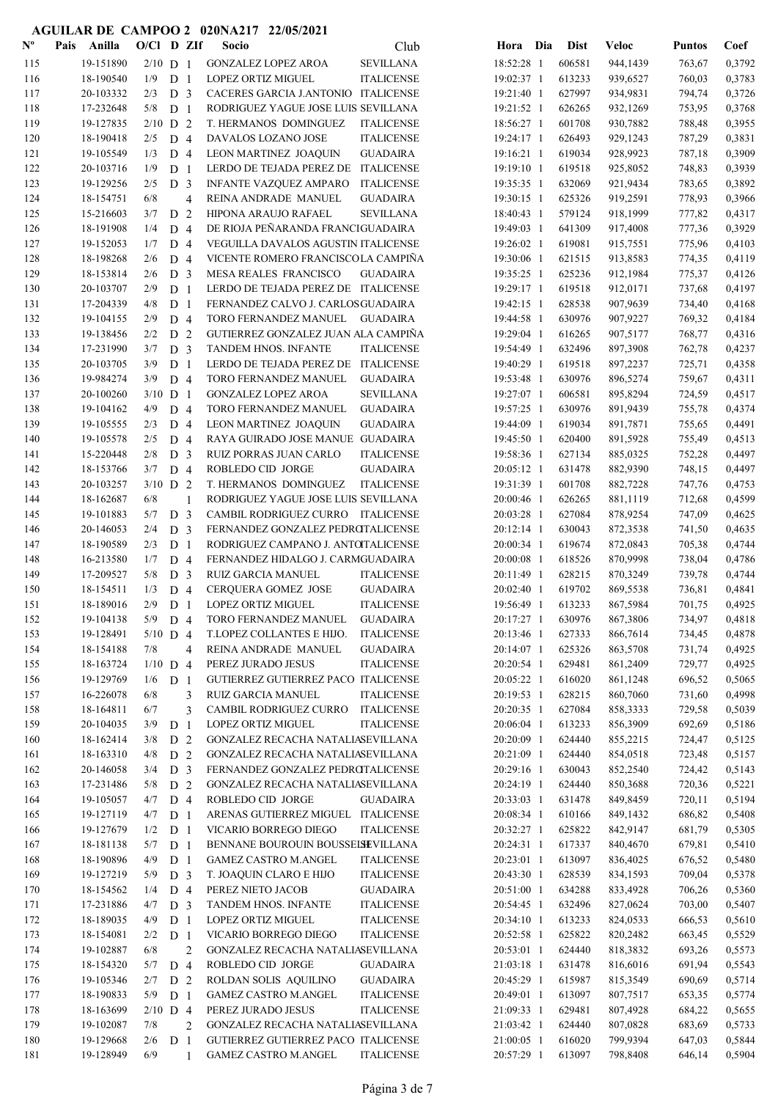| $\mathbf{N}^{\mathbf{o}}$ | Pais | Anilla    | $O/C1$ D ZIf |                |                | Socio                               | Club              | Hora Dia   | <b>Dist</b> | <b>Veloc</b> | <b>Puntos</b> | Coef   |
|---------------------------|------|-----------|--------------|----------------|----------------|-------------------------------------|-------------------|------------|-------------|--------------|---------------|--------|
| 115                       |      | 19-151890 | $2/10$ D 1   |                |                | <b>GONZALEZ LOPEZ AROA</b>          | <b>SEVILLANA</b>  | 18:52:28 1 | 606581      | 944,1439     | 763,67        | 0,3792 |
| 116                       |      | 18-190540 | 1/9          | D <sub>1</sub> |                | <b>LOPEZ ORTIZ MIGUEL</b>           | <b>ITALICENSE</b> | 19:02:37 1 | 613233      | 939,6527     | 760,03        | 0,3783 |
| 117                       |      | 20-103332 | 2/3          | D <sub>3</sub> |                | CACERES GARCIA J.ANTONIO ITALICENSE |                   | 19:21:40 1 | 627997      | 934,9831     | 794,74        | 0,3726 |
| 118                       |      | 17-232648 | 5/8          | D <sub>1</sub> |                | RODRIGUEZ YAGUE JOSE LUIS SEVILLANA |                   | 19:21:52 1 | 626265      | 932,1269     | 753,95        | 0,3768 |
| 119                       |      | 19-127835 | $2/10$ D 2   |                |                | T. HERMANOS DOMINGUEZ               | <b>ITALICENSE</b> | 18:56:27 1 | 601708      | 930,7882     | 788,48        | 0,3955 |
| 120                       |      | 18-190418 | 2/5          | D <sub>4</sub> |                | DAVALOS LOZANO JOSE                 | <b>ITALICENSE</b> | 19:24:17 1 | 626493      | 929,1243     | 787,29        | 0,3831 |
| 121                       |      | 19-105549 | 1/3          | D <sub>4</sub> |                | LEON MARTINEZ JOAQUIN               | <b>GUADAIRA</b>   | 19:16:21 1 | 619034      | 928,9923     | 787,18        | 0,3909 |
| 122                       |      | 20-103716 | 1/9          | D <sub>1</sub> |                | LERDO DE TEJADA PEREZ DE            | <b>ITALICENSE</b> | 19:19:10 1 | 619518      | 925,8052     | 748,83        | 0,3939 |
| 123                       |      | 19-129256 | 2/5          | D <sub>3</sub> |                | INFANTE VAZQUEZ AMPARO              | <b>ITALICENSE</b> | 19:35:35 1 | 632069      | 921,9434     | 783,65        | 0,3892 |
| 124                       |      | 18-154751 | 6/8          |                | $\overline{4}$ | REINA ANDRADE MANUEL                | <b>GUADAIRA</b>   | 19:30:15 1 | 625326      | 919,2591     | 778,93        | 0,3966 |
| 125                       |      | 15-216603 | 3/7          | D <sub>2</sub> |                | HIPONA ARAUJO RAFAEL                | <b>SEVILLANA</b>  | 18:40:43 1 | 579124      | 918,1999     | 777,82        | 0,4317 |
| 126                       |      | 18-191908 | 1/4          | D <sub>4</sub> |                | DE RIOJA PEÑARANDA FRANCIGUADAIRA   |                   | 19:49:03 1 | 641309      | 917,4008     | 777,36        | 0,3929 |
| 127                       |      | 19-152053 | 1/7          | D <sub>4</sub> |                | VEGUILLA DAVALOS AGUSTIN ITALICENSE |                   | 19:26:02 1 | 619081      | 915,7551     | 775,96        | 0,4103 |
| 128                       |      | 18-198268 | 2/6          | D <sub>4</sub> |                | VICENTE ROMERO FRANCISCOLA CAMPINA  |                   | 19:30:06 1 | 621515      | 913,8583     | 774,35        | 0,4119 |
| 129                       |      | 18-153814 | 2/6          | D <sub>3</sub> |                | MESA REALES FRANCISCO               | <b>GUADAIRA</b>   | 19:35:25 1 | 625236      | 912,1984     | 775,37        | 0,4126 |
| 130                       |      | 20-103707 | 2/9          | D <sub>1</sub> |                | LERDO DE TEJADA PEREZ DE ITALICENSE |                   | 19:29:17 1 | 619518      | 912,0171     | 737,68        | 0,4197 |
| 131                       |      | 17-204339 | 4/8          | D <sub>1</sub> |                | FERNANDEZ CALVO J. CARLOSGUADAIRA   |                   | 19:42:15 1 | 628538      | 907,9639     | 734,40        | 0,4168 |
| 132                       |      | 19-104155 | 2/9          | D <sub>4</sub> |                | TORO FERNANDEZ MANUEL GUADAIRA      |                   | 19:44:58 1 | 630976      | 907,9227     | 769,32        | 0,4184 |
| 133                       |      | 19-138456 | 2/2          | D <sub>2</sub> |                | GUTIERREZ GONZALEZ JUAN ALA CAMPIÑA |                   | 19:29:04 1 | 616265      | 907,5177     | 768,77        | 0,4316 |
| 134                       |      | 17-231990 | 3/7          | D <sub>3</sub> |                | <b>TANDEM HNOS. INFANTE</b>         | <b>ITALICENSE</b> | 19:54:49 1 | 632496      | 897,3908     | 762,78        | 0,4237 |
| 135                       |      | 20-103705 | 3/9          | D <sub>1</sub> |                | LERDO DE TEJADA PEREZ DE ITALICENSE |                   | 19:40:29 1 | 619518      | 897,2237     | 725,71        | 0,4358 |
| 136                       |      | 19-984274 | 3/9          | D <sub>4</sub> |                | TORO FERNANDEZ MANUEL               | <b>GUADAIRA</b>   | 19:53:48 1 | 630976      | 896,5274     | 759,67        | 0,4311 |
| 137                       |      | 20-100260 | $3/10$ D 1   |                |                | <b>GONZALEZ LOPEZ AROA</b>          | <b>SEVILLANA</b>  | 19:27:07 1 | 606581      | 895,8294     | 724,59        | 0,4517 |
| 138                       |      | 19-104162 | 4/9          | D <sub>4</sub> |                | TORO FERNANDEZ MANUEL               | <b>GUADAIRA</b>   | 19:57:25 1 | 630976      | 891,9439     | 755,78        | 0,4374 |
| 139                       |      | 19-105555 | 2/3          | D <sub>4</sub> |                | LEON MARTINEZ JOAQUIN               | <b>GUADAIRA</b>   | 19:44:09 1 | 619034      | 891,7871     | 755,65        | 0,4491 |
| 140                       |      | 19-105578 | 2/5          | D <sub>4</sub> |                | RAYA GUIRADO JOSE MANUE GUADAIRA    |                   | 19:45:50 1 | 620400      | 891,5928     | 755,49        | 0,4513 |
| 141                       |      | 15-220448 | 2/8          | D <sub>3</sub> |                | RUIZ PORRAS JUAN CARLO              | <b>ITALICENSE</b> | 19:58:36 1 | 627134      | 885,0325     | 752,28        | 0,4497 |
| 142                       |      | 18-153766 | 3/7          | D <sub>4</sub> |                | ROBLEDO CID JORGE                   | <b>GUADAIRA</b>   | 20:05:12 1 | 631478      | 882,9390     | 748,15        | 0,4497 |
| 143                       |      | 20-103257 | $3/10$ D 2   |                |                | T. HERMANOS DOMINGUEZ               | <b>ITALICENSE</b> | 19:31:39 1 | 601708      | 882,7228     | 747,76        | 0,4753 |
| 144                       |      | 18-162687 | 6/8          |                | 1              | RODRIGUEZ YAGUE JOSE LUIS SEVILLANA |                   | 20:00:46 1 | 626265      | 881,1119     | 712,68        | 0,4599 |
| 145                       |      | 19-101883 | 5/7          | D <sub>3</sub> |                | CAMBIL RODRIGUEZ CURRO ITALICENSE   |                   | 20:03:28 1 | 627084      | 878,9254     | 747,09        | 0,4625 |
| 146                       |      | 20-146053 | 2/4          | D <sub>3</sub> |                | FERNANDEZ GONZALEZ PEDROTALICENSE   |                   | 20:12:14 1 | 630043      | 872,3538     | 741,50        | 0,4635 |
| 147                       |      | 18-190589 | 2/3          | D <sub>1</sub> |                | RODRIGUEZ CAMPANO J. ANTOTALICENSE  |                   | 20:00:34 1 | 619674      | 872,0843     | 705,38        | 0,4744 |
| 148                       |      | 16-213580 | 1/7          | D <sub>4</sub> |                | FERNANDEZ HIDALGO J. CARMGUADAIRA   |                   | 20:00:08 1 | 618526      | 870,9998     | 738,04        | 0,4786 |
| 149                       |      | 17-209527 | 5/8          | D <sub>3</sub> |                | RUIZ GARCIA MANUEL                  | <b>ITALICENSE</b> | 20:11:49 1 | 628215      | 870,3249     | 739,78        | 0,4744 |
| 150                       |      | 18-154511 | 1/3          | D <sub>4</sub> |                | CERQUERA GOMEZ JOSE                 | <b>GUADAIRA</b>   | 20:02:40 1 | 619702      | 869,5538     | 736,81        | 0,4841 |
| 151                       |      | 18-189016 | 2/9          | D <sub>1</sub> |                | <b>LOPEZ ORTIZ MIGUEL</b>           | <b>ITALICENSE</b> | 19:56:49 1 | 613233      | 867,5984     | 701,75        | 0,4925 |
| 152                       |      | 19-104138 | 5/9          | D <sub>4</sub> |                | TORO FERNANDEZ MANUEL               | <b>GUADAIRA</b>   | 20:17:27 1 | 630976      | 867,3806     | 734,97        | 0,4818 |
| 153                       |      | 19-128491 | $5/10$ D 4   |                |                | T.LOPEZ COLLANTES E HIJO.           | <b>ITALICENSE</b> | 20:13:46 1 | 627333      | 866,7614     | 734,45        | 0,4878 |
| 154                       |      | 18-154188 | 7/8          |                | $\overline{4}$ | REINA ANDRADE MANUEL                | <b>GUADAIRA</b>   | 20:14:07 1 | 625326      | 863,5708     | 731,74        | 0,4925 |
| 155                       |      | 18-163724 | $1/10$ D 4   |                |                | PEREZ JURADO JESUS                  | <b>ITALICENSE</b> | 20:20:54 1 | 629481      | 861,2409     | 729,77        | 0,4925 |
| 156                       |      | 19-129769 | 1/6          | D <sub>1</sub> |                | GUTIERREZ GUTIERREZ PACO ITALICENSE |                   | 20:05:22 1 | 616020      | 861,1248     | 696,52        | 0,5065 |
| 157                       |      | 16-226078 | 6/8          |                | 3              | RUIZ GARCIA MANUEL                  | <b>ITALICENSE</b> | 20:19:53 1 | 628215      | 860,7060     | 731,60        | 0,4998 |
| 158                       |      | 18-164811 | 6/7          |                | 3              | CAMBIL RODRIGUEZ CURRO              | <b>ITALICENSE</b> | 20:20:35 1 | 627084      | 858,3333     | 729,58        | 0,5039 |
| 159                       |      | 20-104035 | 3/9          | D <sub>1</sub> |                | <b>LOPEZ ORTIZ MIGUEL</b>           | <b>ITALICENSE</b> | 20:06:04 1 | 613233      | 856,3909     | 692,69        | 0,5186 |
| 160                       |      | 18-162414 | 3/8          | D <sub>2</sub> |                | GONZALEZ RECACHA NATALIASEVILLANA   |                   | 20:20:09 1 | 624440      | 855,2215     | 724,47        | 0,5125 |
| 161                       |      | 18-163310 | 4/8          | D 2            |                | GONZALEZ RECACHA NATALIASEVILLANA   |                   | 20:21:09 1 | 624440      | 854,0518     | 723,48        | 0,5157 |
| 162                       |      | 20-146058 | 3/4          | D <sub>3</sub> |                | FERNANDEZ GONZALEZ PEDROTALICENSE   |                   | 20:29:16 1 | 630043      | 852,2540     | 724,42        | 0,5143 |
| 163                       |      | 17-231486 | 5/8          | D <sub>2</sub> |                | GONZALEZ RECACHA NATALIASEVILLANA   |                   | 20:24:19 1 | 624440      | 850,3688     | 720,36        | 0,5221 |
| 164                       |      | 19-105057 | 4/7          | D <sub>4</sub> |                | ROBLEDO CID JORGE                   | <b>GUADAIRA</b>   | 20:33:03 1 | 631478      | 849,8459     | 720,11        | 0,5194 |
| 165                       |      | 19-127119 | 4/7          | D <sub>1</sub> |                | ARENAS GUTIERREZ MIGUEL ITALICENSE  |                   | 20:08:34 1 | 610166      | 849,1432     | 686,82        | 0,5408 |
| 166                       |      | 19-127679 | 1/2          | D <sub>1</sub> |                | VICARIO BORREGO DIEGO               | <b>ITALICENSE</b> | 20:32:27 1 | 625822      | 842,9147     | 681,79        | 0,5305 |
| 167                       |      | 18-181138 | 5/7          | D <sub>1</sub> |                | BENNANE BOUROUIN BOUSSELSEVILLANA   |                   | 20:24:31 1 | 617337      | 840,4670     | 679,81        | 0,5410 |
| 168                       |      | 18-190896 | 4/9          | D <sub>1</sub> |                | <b>GAMEZ CASTRO M.ANGEL</b>         | <b>ITALICENSE</b> | 20:23:01 1 | 613097      | 836,4025     | 676,52        | 0,5480 |
| 169                       |      | 19-127219 | 5/9          | D <sub>3</sub> |                | T. JOAQUIN CLARO E HIJO             | <b>ITALICENSE</b> | 20:43:30 1 | 628539      | 834,1593     | 709,04        | 0,5378 |
| 170                       |      | 18-154562 | 1/4          | D <sub>4</sub> |                | PEREZ NIETO JACOB                   | <b>GUADAIRA</b>   | 20:51:00 1 | 634288      | 833,4928     | 706,26        | 0,5360 |
| 171                       |      | 17-231886 | 4/7          | D <sub>3</sub> |                | TANDEM HNOS. INFANTE                | <b>ITALICENSE</b> | 20:54:45 1 | 632496      | 827,0624     | 703,00        | 0,5407 |
| 172                       |      | 18-189035 | 4/9          | D <sub>1</sub> |                | LOPEZ ORTIZ MIGUEL                  | <b>ITALICENSE</b> | 20:34:10 1 | 613233      | 824,0533     | 666,53        | 0,5610 |
| 173                       |      | 18-154081 | 2/2          | D <sub>1</sub> |                | VICARIO BORREGO DIEGO               | <b>ITALICENSE</b> | 20:52:58 1 | 625822      | 820,2482     | 663,45        | 0,5529 |
| 174                       |      | 19-102887 | 6/8          |                | $\overline{2}$ | GONZALEZ RECACHA NATALIASEVILLANA   |                   | 20:53:01 1 | 624440      | 818,3832     | 693,26        | 0,5573 |
| 175                       |      | 18-154320 | 5/7          | D <sub>4</sub> |                | ROBLEDO CID JORGE                   | <b>GUADAIRA</b>   | 21:03:18 1 | 631478      | 816,6016     | 691,94        | 0,5543 |
| 176                       |      | 19-105346 | 2/7          | D <sub>2</sub> |                | ROLDAN SOLIS AQUILINO               | <b>GUADAIRA</b>   | 20:45:29 1 | 615987      | 815,3549     | 690,69        | 0,5714 |
| 177                       |      | 18-190833 | 5/9          | D <sub>1</sub> |                | <b>GAMEZ CASTRO M.ANGEL</b>         | <b>ITALICENSE</b> | 20:49:01 1 | 613097      | 807,7517     | 653,35        | 0,5774 |
| 178                       |      | 18-163699 | $2/10$ D 4   |                |                | PEREZ JURADO JESUS                  | <b>ITALICENSE</b> | 21:09:33 1 | 629481      | 807,4928     | 684,22        | 0,5655 |
| 179                       |      | 19-102087 | 7/8          |                | $\overline{2}$ | GONZALEZ RECACHA NATALIASEVILLANA   |                   | 21:03:42 1 | 624440      | 807,0828     | 683,69        | 0,5733 |
| 180                       |      | 19-129668 | 2/6          | D <sub>1</sub> |                | GUTIERREZ GUTIERREZ PACO ITALICENSE |                   | 21:00:05 1 | 616020      | 799,9394     | 647,03        | 0,5844 |
| 181                       |      | 19-128949 | 6/9          |                | $\mathbf{1}$   | <b>GAMEZ CASTRO M.ANGEL</b>         | <b>ITALICENSE</b> | 20:57:29 1 | 613097      | 798,8408     | 646,14        | 0,5904 |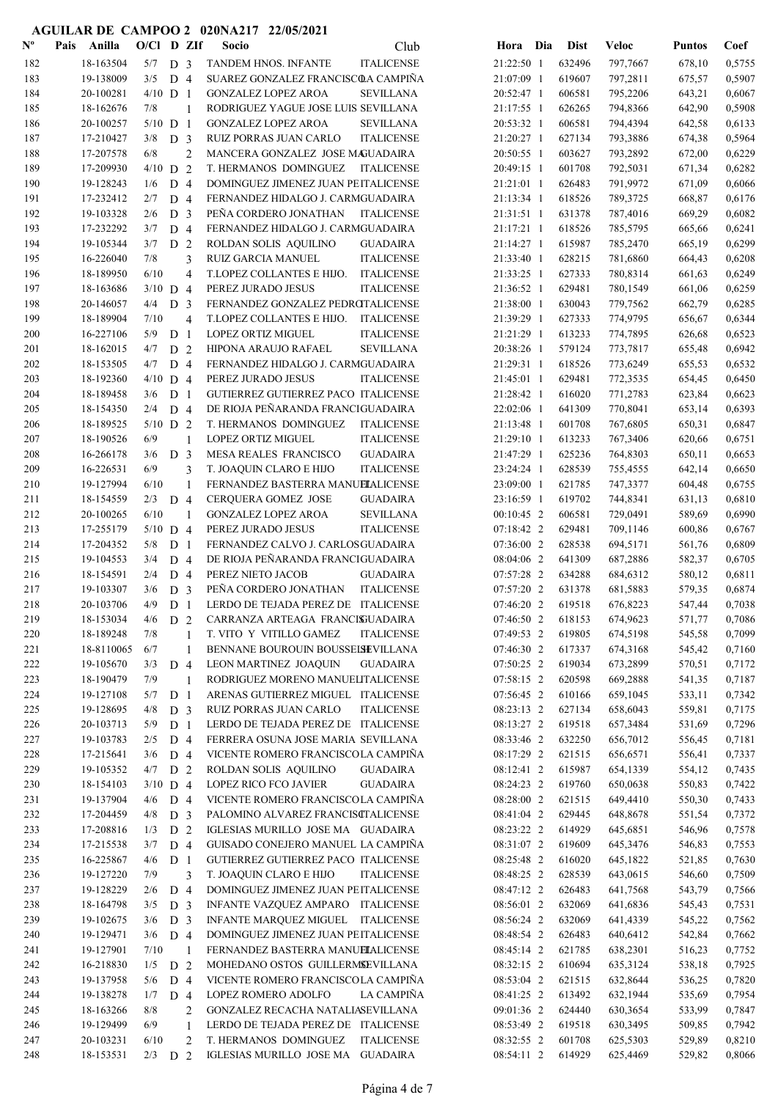| $\mathbf{N}^{\mathbf{o}}$ | Pais | Anilla     | $O/CI$ D ZIf |                |                          | Socio                                | Club              | Hora Dia     | <b>Dist</b> | <b>Veloc</b> | <b>Puntos</b> | Coef   |
|---------------------------|------|------------|--------------|----------------|--------------------------|--------------------------------------|-------------------|--------------|-------------|--------------|---------------|--------|
| 182                       |      | 18-163504  | $5/7$ D 3    |                |                          | TANDEM HNOS. INFANTE                 | <b>ITALICENSE</b> | 21:22:50 1   | 632496      | 797,7667     | 678,10        | 0,5755 |
| 183                       |      | 19-138009  | 3/5          | D <sub>4</sub> |                          | SUAREZ GONZALEZ FRANCISCOA CAMPIÑA   |                   | 21:07:09 1   | 619607      | 797,2811     | 675,57        | 0,5907 |
| 184                       |      | 20-100281  | $4/10$ D 1   |                |                          | <b>GONZALEZ LOPEZ AROA</b>           | <b>SEVILLANA</b>  | 20:52:47 1   | 606581      | 795,2206     | 643,21        | 0,6067 |
| 185                       |      | 18-162676  | 7/8          |                | $\mathbf{1}$             | RODRIGUEZ YAGUE JOSE LUIS SEVILLANA  |                   | 21:17:55 1   | 626265      | 794,8366     | 642,90        | 0,5908 |
| 186                       |      | 20-100257  | $5/10$ D 1   |                |                          | <b>GONZALEZ LOPEZ AROA</b>           | <b>SEVILLANA</b>  | 20:53:32 1   | 606581      | 794,4394     | 642,58        | 0,6133 |
| 187                       |      | 17-210427  | 3/8          | D <sub>3</sub> |                          | RUIZ PORRAS JUAN CARLO               | <b>ITALICENSE</b> | 21:20:27 1   | 627134      | 793,3886     | 674,38        | 0,5964 |
| 188                       |      | 17-207578  | 6/8          |                | $\overline{2}$           | MANCERA GONZALEZ JOSE MAGUADAIRA     |                   | 20:50:55 1   | 603627      | 793,2892     | 672,00        | 0,6229 |
| 189                       |      | 17-209930  | $4/10$ D 2   |                |                          | T. HERMANOS DOMINGUEZ                | <b>ITALICENSE</b> | 20:49:15 1   | 601708      | 792,5031     | 671,34        | 0,6282 |
| 190                       |      | 19-128243  | 1/6          | D <sub>4</sub> |                          | DOMINGUEZ JIMENEZ JUAN PEITALICENSE  |                   | 21:21:01 1   | 626483      | 791,9972     | 671,09        | 0,6066 |
| 191                       |      | 17-232412  | 2/7          | D 4            |                          | FERNANDEZ HIDALGO J. CARMGUADAIRA    |                   | 21:13:34 1   | 618526      | 789,3725     | 668,87        | 0,6176 |
| 192                       |      | 19-103328  | 2/6          | D <sub>3</sub> |                          | PEÑA CORDERO JONATHAN                | <b>ITALICENSE</b> | 21:31:51 1   | 631378      | 787,4016     | 669,29        | 0,6082 |
| 193                       |      | 17-232292  | 3/7          | D <sub>4</sub> |                          | FERNANDEZ HIDALGO J. CARMGUADAIRA    |                   | 21:17:21 1   | 618526      | 785,5795     | 665,66        | 0,6241 |
| 194                       |      | 19-105344  | 3/7          | D <sub>2</sub> |                          | ROLDAN SOLIS AQUILINO                | <b>GUADAIRA</b>   | 21:14:27 1   | 615987      | 785,2470     | 665,19        | 0,6299 |
| 195                       |      | 16-226040  | 7/8          |                | 3                        | <b>RUIZ GARCIA MANUEL</b>            | <b>ITALICENSE</b> | 21:33:40 1   | 628215      | 781,6860     | 664,43        | 0,6208 |
| 196                       |      | 18-189950  | 6/10         |                | $\overline{\mathcal{L}}$ | T.LOPEZ COLLANTES E HIJO.            | <b>ITALICENSE</b> | 21:33:25 1   | 627333      | 780,8314     | 661,63        | 0,6249 |
| 197                       |      | 18-163686  | $3/10$ D 4   |                |                          | PEREZ JURADO JESUS                   | <b>ITALICENSE</b> | 21:36:52 1   | 629481      | 780,1549     | 661,06        | 0,6259 |
| 198                       |      | 20-146057  | 4/4          | D <sub>3</sub> |                          | FERNANDEZ GONZALEZ PEDROTALICENSE    |                   | 21:38:00 1   | 630043      | 779,7562     | 662,79        | 0,6285 |
| 199                       |      | 18-189904  | 7/10         |                | $\overline{4}$           | T.LOPEZ COLLANTES E HIJO. ITALICENSE |                   | 21:39:29 1   | 627333      | 774,9795     | 656,67        | 0,6344 |
| 200                       |      | 16-227106  | 5/9          | D <sub>1</sub> |                          | LOPEZ ORTIZ MIGUEL                   | <b>ITALICENSE</b> | 21:21:29 1   | 613233      | 774,7895     | 626,68        | 0,6523 |
| 201                       |      | 18-162015  | 4/7          | D <sub>2</sub> |                          | HIPONA ARAUJO RAFAEL                 | <b>SEVILLANA</b>  | 20:38:26 1   | 579124      | 773,7817     | 655,48        | 0,6942 |
| 202                       |      | 18-153505  | 4/7          | D <sub>4</sub> |                          | FERNANDEZ HIDALGO J. CARMGUADAIRA    |                   | 21:29:31 1   | 618526      | 773,6249     | 655,53        | 0,6532 |
| 203                       |      | 18-192360  | $4/10$ D 4   |                |                          | PEREZ JURADO JESUS                   | <b>ITALICENSE</b> | 21:45:01 1   | 629481      | 772,3535     | 654,45        | 0,6450 |
| 204                       |      | 18-189458  | 3/6          | D <sub>1</sub> |                          | GUTIERREZ GUTIERREZ PACO ITALICENSE  |                   | 21:28:42 1   | 616020      | 771,2783     | 623,84        | 0,6623 |
| 205                       |      | 18-154350  | 2/4          | D <sub>4</sub> |                          | DE RIOJA PEÑARANDA FRANCIGUADAIRA    |                   | 22:02:06 1   | 641309      | 770,8041     | 653,14        | 0,6393 |
| 206                       |      | 18-189525  | $5/10$ D 2   |                |                          | T. HERMANOS DOMINGUEZ                | <b>ITALICENSE</b> | 21:13:48 1   | 601708      | 767,6805     | 650,31        | 0,6847 |
| 207                       |      | 18-190526  | 6/9          |                | 1                        | LOPEZ ORTIZ MIGUEL                   | <b>ITALICENSE</b> | 21:29:10 1   | 613233      | 767,3406     | 620,66        | 0,6751 |
| 208                       |      | 16-266178  | 3/6          | D <sub>3</sub> |                          | MESA REALES FRANCISCO                | <b>GUADAIRA</b>   | 21:47:29 1   | 625236      | 764,8303     | 650,11        | 0,6653 |
| 209                       |      | 16-226531  | 6/9          |                | 3                        | T. JOAQUIN CLARO E HIJO              | <b>ITALICENSE</b> | 23:24:24 1   | 628539      | 755,4555     | 642,14        | 0,6650 |
| 210                       |      | 19-127994  | 6/10         |                | 1                        | FERNANDEZ BASTERRA MANUELALICENSE    |                   | 23:09:00 1   | 621785      | 747,3377     | 604,48        | 0,6755 |
| 211                       |      | 18-154559  | 2/3          | D <sub>4</sub> |                          | CERQUERA GOMEZ JOSE                  | <b>GUADAIRA</b>   | 23:16:59 1   | 619702      | 744,8341     | 631,13        | 0,6810 |
| 212                       |      | 20-100265  | 6/10         |                | 1                        | <b>GONZALEZ LOPEZ AROA</b>           | <b>SEVILLANA</b>  | $00:10:45$ 2 | 606581      | 729,0491     | 589,69        | 0,6990 |
| 213                       |      | 17-255179  | $5/10$ D 4   |                |                          | PEREZ JURADO JESUS                   | <b>ITALICENSE</b> | 07:18:42 2   | 629481      | 709,1146     | 600,86        | 0,6767 |
| 214                       |      | 17-204352  | 5/8          | D <sub>1</sub> |                          | FERNANDEZ CALVO J. CARLOSGUADAIRA    |                   | 07:36:00 2   | 628538      | 694,5171     | 561,76        | 0,6809 |
| 215                       |      | 19-104553  | 3/4          | D 4            |                          | DE RIOJA PEÑARANDA FRANCIGUADAIRA    |                   | 08:04:06 2   | 641309      | 687,2886     | 582,37        | 0,6705 |
| 216                       |      | 18-154591  | 2/4          | D 4            |                          | PEREZ NIETO JACOB                    | <b>GUADAIRA</b>   | 07:57:28 2   | 634288      | 684,6312     | 580,12        | 0,6811 |
| 217                       |      | 19-103307  | 3/6          | D <sub>3</sub> |                          | PEÑA CORDERO JONATHAN                | <b>ITALICENSE</b> | 07:57:20 2   | 631378      | 681,5883     | 579,35        | 0,6874 |
| 218                       |      | 20-103706  | 4/9          | D <sub>1</sub> |                          | LERDO DE TEJADA PEREZ DE ITALICENSE  |                   | 07:46:20 2   | 619518      | 676,8223     | 547,44        | 0,7038 |
| 219                       |      | 18-153034  | 4/6          | D <sub>2</sub> |                          | CARRANZA ARTEAGA FRANCISUADAIRA      |                   | 07:46:50 2   | 618153      | 674,9623     | 571.77        | 0,7086 |
| 220                       |      | 18-189248  | 7/8          |                | 1                        | T. VITO Y VITILLO GAMEZ              | <b>ITALICENSE</b> | 07:49:53 2   | 619805      | 674,5198     | 545,58        | 0,7099 |
| 221                       |      | 18-8110065 | 6/7          |                | 1                        | BENNANE BOUROUIN BOUSSEISEVILLANA    |                   | 07:46:30 2   | 617337      | 674,3168     | 545,42        | 0,7160 |
| 222                       |      | 19-105670  | 3/3          | D <sub>4</sub> |                          | LEON MARTINEZ JOAQUIN                | <b>GUADAIRA</b>   | 07:50:25 2   | 619034      | 673,2899     | 570,51        | 0,7172 |
| 223                       |      | 18-190479  | 7/9          |                | 1                        | RODRIGUEZ MORENO MANUELITALICENSE    |                   | 07:58:15 2   | 620598      | 669,2888     | 541,35        | 0,7187 |
| 224                       |      | 19-127108  | 5/7          | D <sub>1</sub> |                          | ARENAS GUTIERREZ MIGUEL ITALICENSE   |                   | 07:56:45 2   | 610166      | 659,1045     | 533,11        | 0,7342 |
| 225                       |      | 19-128695  | 4/8          | D <sub>3</sub> |                          | RUIZ PORRAS JUAN CARLO               | <b>ITALICENSE</b> | 08:23:13 2   | 627134      | 658,6043     | 559,81        | 0,7175 |
| 226                       |      | 20-103713  | 5/9          | D <sub>1</sub> |                          | LERDO DE TEJADA PEREZ DE ITALICENSE  |                   | 08:13:27 2   | 619518      | 657,3484     | 531,69        | 0,7296 |
| 227                       |      | 19-103783  | 2/5          | D <sub>4</sub> |                          | FERRERA OSUNA JOSE MARIA SEVILLANA   |                   | 08:33:46 2   | 632250      | 656,7012     | 556,45        | 0,7181 |
| 228                       |      | 17-215641  | 3/6          | D <sub>4</sub> |                          | VICENTE ROMERO FRANCISCOLA CAMPIÑA   |                   | 08:17:29 2   | 621515      | 656,6571     | 556,41        | 0,7337 |
| 229                       |      | 19-105352  | $4/7$ D 2    |                |                          | ROLDAN SOLIS AQUILINO                | <b>GUADAIRA</b>   | 08:12:41 2   | 615987      | 654,1339     | 554,12        | 0,7435 |
| 230                       |      | 18-154103  | $3/10$ D 4   |                |                          | LOPEZ RICO FCO JAVIER                | <b>GUADAIRA</b>   | 08:24:23 2   | 619760      | 650,0638     | 550,83        | 0,7422 |
| 231                       |      | 19-137904  | 4/6          | D <sub>4</sub> |                          | VICENTE ROMERO FRANCISCOLA CAMPIÑA   |                   | 08:28:00 2   | 621515      | 649,4410     | 550,30        | 0,7433 |
| 232                       |      | 17-204459  | 4/8          | D <sub>3</sub> |                          | PALOMINO ALVAREZ FRANCISCTALICENSE   |                   | 08:41:04 2   | 629445      | 648,8678     | 551,54        | 0,7372 |
| 233                       |      | 17-208816  | 1/3          | D <sub>2</sub> |                          | IGLESIAS MURILLO JOSE MA GUADAIRA    |                   | 08:23:22 2   | 614929      | 645,6851     | 546,96        | 0,7578 |
| 234                       |      | 17-215538  | 3/7          | D 4            |                          | GUISADO CONEJERO MANUEL LA CAMPIÑA   |                   | 08:31:07 2   | 619609      | 645,3476     | 546,83        | 0,7553 |
| 235                       |      | 16-225867  | 4/6          | D <sub>1</sub> |                          | GUTIERREZ GUTIERREZ PACO ITALICENSE  |                   | 08:25:48 2   | 616020      | 645,1822     | 521,85        | 0,7630 |
| 236                       |      | 19-127220  | 7/9          |                | 3                        | T. JOAQUIN CLARO E HIJO              | <b>ITALICENSE</b> | 08:48:25 2   | 628539      | 643,0615     | 546,60        | 0,7509 |
| 237                       |      | 19-128229  | 2/6          | D <sub>4</sub> |                          | DOMINGUEZ JIMENEZ JUAN PEITALICENSE  |                   | 08:47:12 2   | 626483      | 641,7568     | 543,79        | 0,7566 |
| 238                       |      | 18-164798  | 3/5          | D <sub>3</sub> |                          | INFANTE VAZQUEZ AMPARO ITALICENSE    |                   | 08:56:01 2   | 632069      | 641,6836     | 545,43        | 0,7531 |
| 239                       |      | 19-102675  | 3/6          | D <sub>3</sub> |                          |                                      |                   | 08:56:24 2   | 632069      | 641,4339     | 545,22        | 0,7562 |
|                           |      |            |              |                |                          | INFANTE MARQUEZ MIGUEL ITALICENSE    |                   |              |             |              |               |        |
| 240                       |      | 19-129471  | $3/6$ D 4    |                |                          | DOMINGUEZ JIMENEZ JUAN PEITALICENSE  |                   | 08:48:54 2   | 626483      | 640,6412     | 542,84        | 0,7662 |
| 241                       |      | 19-127901  | 7/10         |                | -1                       | FERNANDEZ BASTERRA MANUELALICENSE    |                   | 08:45:14 2   | 621785      | 638,2301     | 516,23        | 0,7752 |
| 242                       |      | 16-218830  | $1/5$ D 2    |                |                          | MOHEDANO OSTOS GUILLERMSEVILLANA     |                   | 08:32:15 2   | 610694      | 635,3124     | 538,18        | 0,7925 |
| 243                       |      | 19-137958  | 5/6          | D <sub>4</sub> |                          | VICENTE ROMERO FRANCISCOLA CAMPIÑA   |                   | 08:53:04 2   | 621515      | 632,8644     | 536,25        | 0,7820 |
| 244                       |      | 19-138278  | 1/7          | D <sub>4</sub> |                          | LOPEZ ROMERO ADOLFO                  | LA CAMPIÑA        | 08:41:25 2   | 613492      | 632,1944     | 535,69        | 0,7954 |
| 245                       |      | 18-163266  | 8/8          |                | 2                        | GONZALEZ RECACHA NATALIASEVILLANA    |                   | 09:01:36 2   | 624440      | 630,3654     | 533,99        | 0,7847 |
| 246                       |      | 19-129499  | 6/9          |                | 1                        | LERDO DE TEJADA PEREZ DE ITALICENSE  |                   | 08:53:49 2   | 619518      | 630,3495     | 509,85        | 0,7942 |
| 247                       |      | 20-103231  | 6/10         |                | 2                        | T. HERMANOS DOMINGUEZ                | <b>ITALICENSE</b> | 08:32:55 2   | 601708      | 625,5303     | 529,89        | 0,8210 |
| 248                       |      | 18-153531  | $2/3$ D 2    |                |                          | IGLESIAS MURILLO JOSE MA GUADAIRA    |                   | 08:54:11 2   | 614929      | 625,4469     | 529,82        | 0,8066 |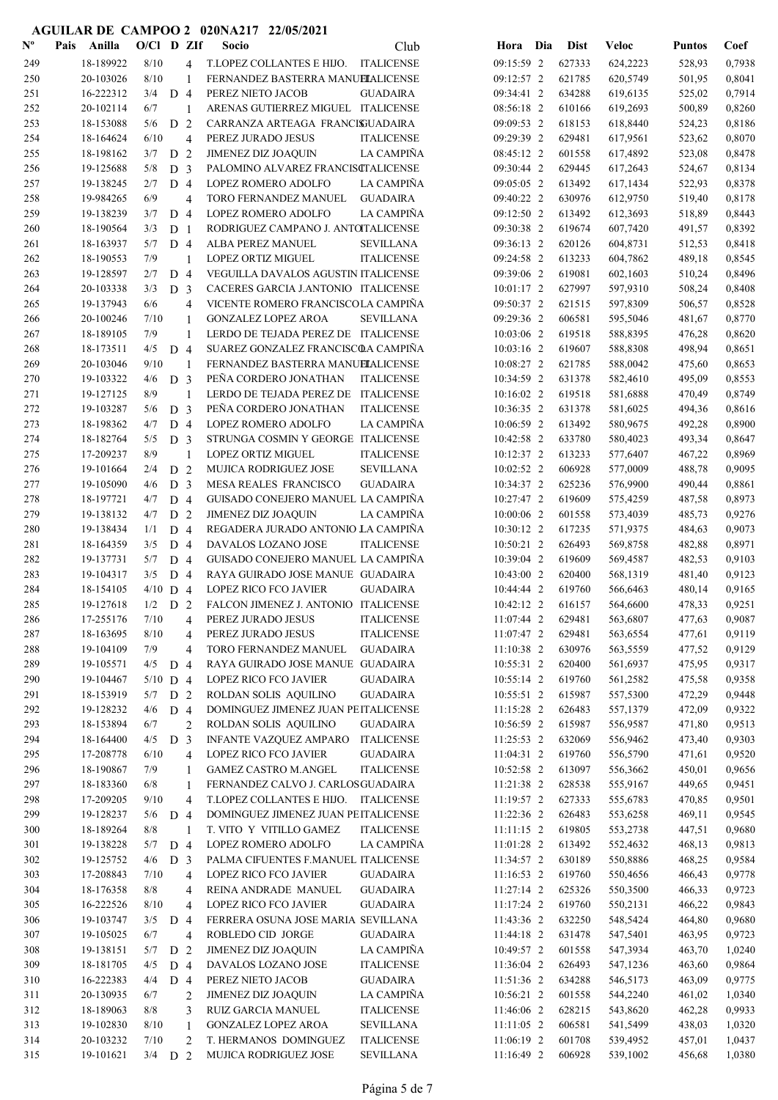| $\mathbf{N}^{\mathbf{o}}$ | Pais | Anilla                 | $O/Cl$ D ZIf |                |                | Socio                                                                  | Club                                 | Hora Dia                 | <b>Dist</b>      | <b>Veloc</b>         | <b>Puntos</b> | Coef             |
|---------------------------|------|------------------------|--------------|----------------|----------------|------------------------------------------------------------------------|--------------------------------------|--------------------------|------------------|----------------------|---------------|------------------|
| 249                       |      | 18-189922              | 8/10         |                | 4              | T.LOPEZ COLLANTES E HIJO. ITALICENSE                                   |                                      | 09:15:59 2               | 627333           | 624,2223             | 528,93        | 0,7938           |
| 250                       |      | 20-103026              | 8/10         |                | 1              | FERNANDEZ BASTERRA MANUELALICENSE                                      |                                      | 09:12:57 2               | 621785           | 620,5749             | 501,95        | 0,8041           |
| 251                       |      | 16-222312              | 3/4          | D <sub>4</sub> |                | PEREZ NIETO JACOB                                                      | <b>GUADAIRA</b>                      | 09:34:41 2               | 634288           | 619,6135             | 525,02        | 0,7914           |
| 252                       |      | 20-102114              | 6/7          |                | -1             | ARENAS GUTIERREZ MIGUEL ITALICENSE                                     |                                      | 08:56:18 2               | 610166           | 619,2693             | 500,89        | 0,8260           |
| 253                       |      | 18-153088              | 5/6          | D              | $\overline{2}$ | CARRANZA ARTEAGA FRANCISJUADAIRA                                       |                                      | 09:09:53 2               | 618153           | 618,8440             | 524,23        | 0,8186           |
| 254                       |      | 18-164624              | 6/10         |                | 4              | PEREZ JURADO JESUS                                                     | <b>ITALICENSE</b>                    | 09:29:39 2               | 629481           | 617,9561             | 523,62        | 0,8070           |
| 255                       |      | 18-198162              | 3/7          | D              | $\overline{2}$ | <b>JIMENEZ DIZ JOAQUIN</b>                                             | LA CAMPIÑA                           | 08:45:12 2               | 601558           | 617,4892             | 523,08        | 0,8478           |
| 256                       |      | 19-125688              | 5/8          | D <sub>3</sub> |                | PALOMINO ALVAREZ FRANCISCTALICENSE                                     |                                      | 09:30:44 2               | 629445           | 617,2643             | 524,67        | 0,8134           |
| 257                       |      | 19-138245              | 2/7          | D <sub>4</sub> |                | LOPEZ ROMERO ADOLFO                                                    | LA CAMPIÑA                           | 09:05:05 2               | 613492           | 617,1434             | 522,93        | 0,8378           |
| 258                       |      | 19-984265              | 6/9          |                | 4              | TORO FERNANDEZ MANUEL                                                  | <b>GUADAIRA</b>                      | 09:40:22 2               | 630976           | 612,9750             | 519,40        | 0,8178           |
| 259                       |      | 19-138239              | 3/7          | D <sub>4</sub> |                | LOPEZ ROMERO ADOLFO                                                    | LA CAMPIÑA                           | 09:12:50 2               | 613492           | 612,3693             | 518,89        | 0,8443           |
| 260                       |      | 18-190564              | 3/3          | D <sub>1</sub> |                | RODRIGUEZ CAMPANO J. ANTOITALICENSE                                    |                                      | 09:30:38 2               | 619674           | 607,7420             | 491,57        | 0,8392           |
| 261                       |      | 18-163937              | 5/7          | D <sub>4</sub> |                | ALBA PEREZ MANUEL                                                      | <b>SEVILLANA</b>                     | 09:36:13 2               | 620126           | 604,8731             | 512,53        | 0,8418           |
| 262                       |      | 18-190553              | 7/9          |                | -1             | LOPEZ ORTIZ MIGUEL                                                     | <b>ITALICENSE</b>                    | 09:24:58 2               | 613233           | 604,7862             | 489,18        | 0,8545           |
| 263                       |      | 19-128597              | 2/7          | D <sub>4</sub> |                | VEGUILLA DAVALOS AGUSTIN ITALICENSE                                    |                                      | 09:39:06 2               | 619081           | 602,1603             | 510,24        | 0,8496           |
| 264                       |      | 20-103338              | 3/3          | D <sub>3</sub> |                | CACERES GARCIA J.ANTONIO ITALICENSE                                    |                                      | 10:01:17 2               | 627997           | 597,9310             | 508,24        | 0,8408           |
| 265                       |      | 19-137943              | 6/6          |                | 4              | VICENTE ROMERO FRANCISCOLA CAMPIÑA                                     |                                      | 09:50:37 2               | 621515           | 597,8309             | 506,57        | 0,8528           |
| 266                       |      | 20-100246              | 7/10         |                | $\mathbf{1}$   | <b>GONZALEZ LOPEZ AROA</b>                                             | <b>SEVILLANA</b>                     | 09:29:36 2               | 606581           | 595,5046             | 481,67        | 0,8770           |
| 267                       |      | 18-189105              | 7/9          |                | $\mathbf{1}$   | LERDO DE TEJADA PEREZ DE ITALICENSE                                    |                                      | 10:03:06 2               | 619518           | 588,8395             | 476,28        | 0,8620           |
| 268                       |      | 18-173511              | 4/5          | D <sub>4</sub> |                | SUAREZ GONZALEZ FRANCISCOA CAMPIÑA                                     |                                      | 10:03:16 2               | 619607           | 588,8308             | 498,94        | 0,8651           |
| 269                       |      | 20-103046              | 9/10         |                | 1              | FERNANDEZ BASTERRA MANUELALICENSE                                      |                                      | 10:08:27 2               | 621785           | 588,0042             | 475,60        | 0,8653           |
| 270                       |      | 19-103322              | 4/6          | D <sub>3</sub> |                | PEÑA CORDERO JONATHAN                                                  | <b>ITALICENSE</b>                    | 10:34:59 2               | 631378           | 582,4610             | 495,09        | 0,8553           |
|                           |      |                        |              |                |                | LERDO DE TEJADA PEREZ DE                                               |                                      |                          |                  |                      |               |                  |
| 271                       |      | 19-127125              | 8/9          |                |                |                                                                        | ITALICENSE                           | 10:16:02 2<br>10:36:35 2 | 619518<br>631378 | 581,6888             | 470,49        | 0,8749           |
| 272                       |      | 19-103287              | 5/6          | D <sub>3</sub> |                | PEÑA CORDERO JONATHAN                                                  | <b>ITALICENSE</b>                    |                          |                  | 581,6025             | 494,36        | 0,8616           |
| 273                       |      | 18-198362              | 4/7          | D <sub>4</sub> |                | LOPEZ ROMERO ADOLFO                                                    | LA CAMPIÑA                           | 10:06:59 2               | 613492           | 580,9675             | 492,28        | 0,8900           |
| 274                       |      | 18-182764              | 5/5          | D <sub>3</sub> |                | STRUNGA COSMIN Y GEORGE ITALICENSE                                     |                                      | 10:42:58 2               | 633780           | 580,4023             | 493,34        | 0,8647           |
| 275                       |      | 17-209237              | 8/9          |                | $\mathbf{1}$   | <b>LOPEZ ORTIZ MIGUEL</b>                                              | <b>ITALICENSE</b>                    | 10:12:37 2               | 613233           | 577,6407             | 467,22        | 0,8969           |
| 276                       |      | 19-101664              | 2/4          | D <sub>2</sub> |                | MUJICA RODRIGUEZ JOSE                                                  | <b>SEVILLANA</b>                     | 10:02:52 2               | 606928           | 577,0009             | 488,78        | 0,9095           |
| 277                       |      | 19-105090              | 4/6          | D <sub>3</sub> |                | MESA REALES FRANCISCO                                                  | <b>GUADAIRA</b>                      | 10:34:37 2<br>10:27:47 2 | 625236           | 576,9900             | 490,44        | 0,8861           |
| 278                       |      | 18-197721              | 4/7          | D <sub>4</sub> |                | GUISADO CONEJERO MANUEL LA CAMPIÑA                                     |                                      |                          | 619609           | 575,4259             | 487,58        | 0,8973           |
| 279                       |      | 19-138132              | 4/7          | D <sub>2</sub> |                | <b>JIMENEZ DIZ JOAQUIN</b>                                             | <b>LA CAMPIÑA</b>                    | 10:00:06 2               | 601558           | 573,4039             | 485,73        | 0,9276           |
| 280                       |      | 19-138434              | 1/1          | D <sub>4</sub> |                | REGADERA JURADO ANTONIO LA CAMPIÑA                                     |                                      | 10:30:12 2<br>10:50:21 2 | 617235           | 571,9375             | 484,63        | 0,9073           |
| 281                       |      | 18-164359              | 3/5          | D <sub>4</sub> |                | DAVALOS LOZANO JOSE                                                    | <b>ITALICENSE</b>                    |                          | 626493           | 569,8758             | 482,88        | 0,8971           |
| 282                       |      | 19-137731              | 5/7          | D <sub>4</sub> |                | GUISADO CONEJERO MANUEL LA CAMPIÑA<br>RAYA GUIRADO JOSE MANUE GUADAIRA |                                      | 10:39:04 2               | 619609           | 569,4587             | 482,53        | 0,9103           |
| 283                       |      | 19-104317              | 3/5          | D <sub>4</sub> |                |                                                                        |                                      | 10:43:00 2               | 620400           | 568,1319             | 481,40        | 0,9123           |
| 284                       |      | 18-154105              | $4/10$ D 4   |                |                | <b>LOPEZ RICO FCO JAVIER</b>                                           | <b>GUADAIRA</b>                      | 10:44:44 2               | 619760           | 566,6463             | 480,14        | 0,9165           |
| 285                       |      | 19-127618              | 1/2          | D <sub>2</sub> |                | FALCON JIMENEZ J. ANTONIO ITALICENSE<br>PEREZ JURADO JESUS             |                                      | 10:42:12 2<br>11:07:44 2 | 616157           | 564,6600             | 478,33        | 0,9251<br>0,9087 |
| 286                       |      | 17-255176              | 7/10         |                | 4              |                                                                        | <b>ITALICENSE</b>                    |                          | 629481           | 563,6807             | 477,63        |                  |
| 287<br>288                |      | 18-163695<br>19-104109 | 8/10<br>7/9  |                | 4              | PEREZ JURADO JESUS                                                     | <b>ITALICENSE</b>                    | 11:07:47 2               | 629481<br>630976 | 563,6554<br>563,5559 | 477,61        | 0,9119<br>0,9129 |
|                           |      | 19-105571              | 4/5          | D <sub>4</sub> | 4              | TORO FERNANDEZ MANUEL<br>RAYA GUIRADO JOSE MANUE GUADAIRA              | <b>GUADAIRA</b>                      | 11:10:38 2<br>10:55:31 2 | 620400           | 561,6937             | 477,52        | 0,9317           |
| 289                       |      |                        |              |                |                |                                                                        |                                      | 10:55:14 2               |                  |                      | 475,95        |                  |
| 290                       |      | 19-104467              | $5/10$ D 4   |                |                | <b>LOPEZ RICO FCO JAVIER</b><br>ROLDAN SOLIS AQUILINO                  | <b>GUADAIRA</b>                      |                          | 619760           | 561,2582             | 475,58        | 0,9358           |
| 291                       |      | 18-153919<br>19-128232 | 5/7          | D <sub>2</sub> |                |                                                                        | <b>GUADAIRA</b>                      | 10:55:51 2               | 615987           | 557,5300             | 472,29        | 0,9448           |
| 292                       |      |                        | 4/6          | D 4            |                | DOMINGUEZ JIMENEZ JUAN PEITALICENSE                                    |                                      | 11:15:28 2               | 626483           | 557,1379             | 472,09        | 0,9322           |
| 293                       |      | 18-153894              | 6/7          |                | $\overline{c}$ | ROLDAN SOLIS AQUILINO                                                  | <b>GUADAIRA</b>                      | 10:56:59 2               | 615987           | 556,9587             | 471,80        | 0,9513           |
| 294                       |      | 18-164400              | 4/5          | D              | 3              | INFANTE VAZQUEZ AMPARO                                                 | <b>ITALICENSE</b>                    | 11:25:53 2               | 632069           | 556,9462             | 473,40        | 0,9303           |
| 295                       |      | 17-208778<br>18-190867 | 6/10         |                | 4              | <b>LOPEZ RICO FCO JAVIER</b>                                           | <b>GUADAIRA</b><br><b>ITALICENSE</b> | 11:04:31 2               | 619760           | 556,5790             | 471,61        | 0,9520           |
| 296<br>297                |      |                        | 7/9          |                | 1              | <b>GAMEZ CASTRO M.ANGEL</b>                                            |                                      | 10:52:58 2               | 613097           | 556,3662             | 450,01        | 0,9656           |
|                           |      | 18-183360              | 6/8<br>9/10  |                | 1              | FERNANDEZ CALVO J. CARLOSGUADAIRA                                      |                                      | 11:21:38 2               | 628538           | 555,9167             | 449,65        | 0,9451           |
| 298                       |      | 17-209205              |              |                | $\overline{4}$ | T.LOPEZ COLLANTES E HIJO.                                              | <b>ITALICENSE</b>                    | 11:19:57 2               | 627333           | 555,6783             | 470,85        | 0,9501           |
| 299                       |      | 19-128237              | 5/6          | D <sub>4</sub> |                | DOMINGUEZ JIMENEZ JUAN PEITALICENSE                                    |                                      | 11:22:36 2               | 626483           | 553,6258             | 469,11        | 0,9545           |
| 300                       |      | 18-189264              | 8/8          |                | 1              | T. VITO Y VITILLO GAMEZ                                                | <b>ITALICENSE</b>                    | $11:11:15$ 2             | 619805           | 553,2738             | 447,51        | 0,9680           |
| 301                       |      | 19-138228              | 5/7          | D <sub>4</sub> |                | LOPEZ ROMERO ADOLFO                                                    | LA CAMPIÑA                           | 11:01:28 2               | 613492           | 552,4632             | 468,13        | 0,9813           |
| 302                       |      | 19-125752              | 4/6          | D <sub>3</sub> |                | PALMA CIFUENTES F.MANUEL ITALICENSE                                    |                                      | 11:34:57 2               | 630189           | 550,8886             | 468,25        | 0,9584           |
| 303                       |      | 17-208843              | 7/10         |                | 4              | LOPEZ RICO FCO JAVIER                                                  | <b>GUADAIRA</b>                      | 11:16:53 2               | 619760           | 550,4656             | 466,43        | 0,9778           |
| 304                       |      | 18-176358              | 8/8          |                | 4              | REINA ANDRADE MANUEL                                                   | <b>GUADAIRA</b>                      | 11:27:14 2               | 625326           | 550,3500             | 466,33        | 0,9723           |
| 305                       |      | 16-222526              | 8/10         |                | 4              | LOPEZ RICO FCO JAVIER                                                  | <b>GUADAIRA</b>                      | 11:17:24 2               | 619760           | 550,2131             | 466,22        | 0,9843           |
| 306                       |      | 19-103747              | 3/5          | D 4            |                | FERRERA OSUNA JOSE MARIA SEVILLANA                                     |                                      | 11:43:36 2               | 632250           | 548,5424             | 464,80        | 0,9680           |
| 307                       |      | 19-105025              | 6/7          |                | $\overline{4}$ | ROBLEDO CID JORGE                                                      | <b>GUADAIRA</b>                      | 11:44:18 2               | 631478           | 547,5401             | 463,95        | 0,9723           |
| 308                       |      | 19-138151              | 5/7          | D <sub>2</sub> |                | <b>JIMENEZ DIZ JOAQUIN</b>                                             | LA CAMPIÑA                           | 10:49:57 2               | 601558           | 547,3934             | 463,70        | 1,0240           |
| 309                       |      | 18-181705              | 4/5          | D <sub>4</sub> |                | DAVALOS LOZANO JOSE                                                    | <b>ITALICENSE</b>                    | 11:36:04 2               | 626493           | 547,1236             | 463,60        | 0,9864           |
| 310                       |      | 16-222383              | 4/4          | D <sub>4</sub> |                | PEREZ NIETO JACOB                                                      | <b>GUADAIRA</b>                      | 11:51:36 2               | 634288           | 546,5173             | 463,09        | 0,9775           |
| 311                       |      | 20-130935              | 6/7          |                | 2              | JIMENEZ DIZ JOAQUIN                                                    | LA CAMPIÑA                           | 10:56:21 2               | 601558           | 544,2240             | 461,02        | 1,0340           |
| 312                       |      | 18-189063              | 8/8          |                | 3              | RUIZ GARCIA MANUEL                                                     | <b>ITALICENSE</b>                    | 11:46:06 2               | 628215           | 543,8620             | 462,28        | 0,9933           |
| 313                       |      | 19-102830              | 8/10         |                | 1              | <b>GONZALEZ LOPEZ AROA</b>                                             | <b>SEVILLANA</b>                     | 11:11:05 2               | 606581           | 541,5499             | 438,03        | 1,0320           |
| 314                       |      | 20-103232              | 7/10         |                | $\overline{2}$ | T. HERMANOS DOMINGUEZ                                                  | <b>ITALICENSE</b>                    | 11:06:19 2               | 601708           | 539,4952             | 457,01        | 1,0437           |
| 315                       |      | 19-101621              | $3/4$ D 2    |                |                | MUJICA RODRIGUEZ JOSE                                                  | <b>SEVILLANA</b>                     | 11:16:49 2               | 606928           | 539,1002             | 456,68        | 1,0380           |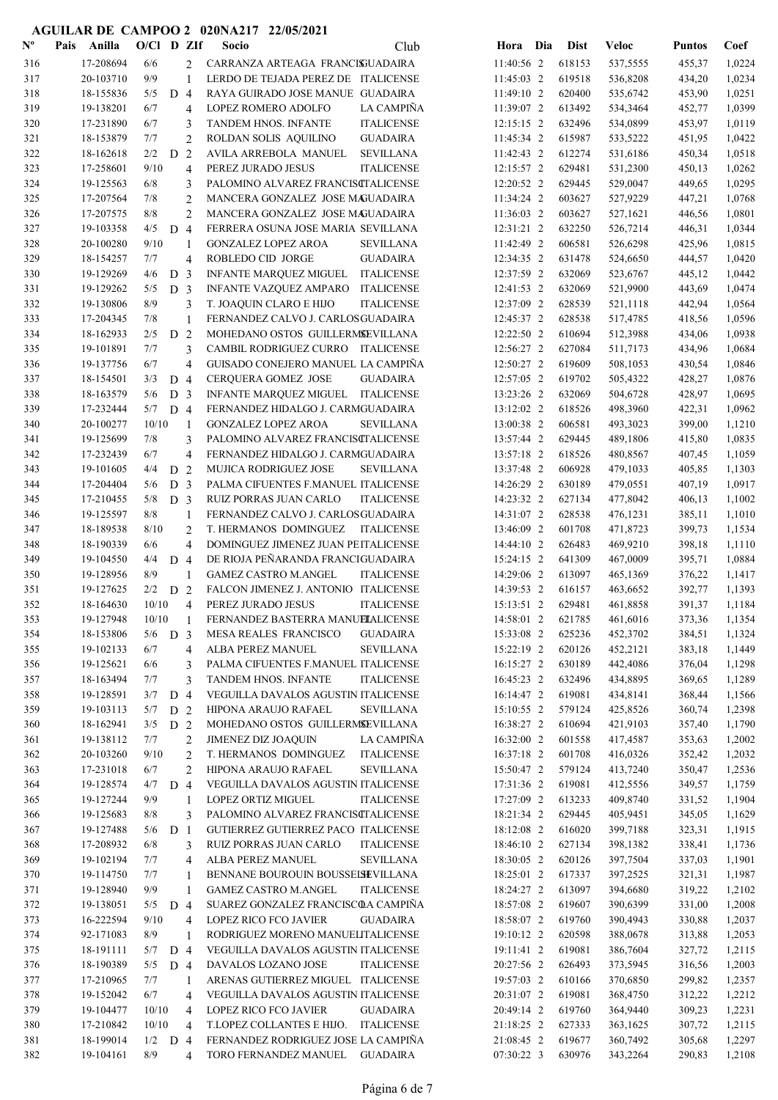| ${\bf N^o}$ | Pais | Anilla    | $O/CI$ D ZIf |                |                          | Socio                                | Club              | Hora Dia     | <b>Dist</b> | <b>Veloc</b> | <b>Puntos</b> | Coef   |
|-------------|------|-----------|--------------|----------------|--------------------------|--------------------------------------|-------------------|--------------|-------------|--------------|---------------|--------|
| 316         |      | 17-208694 | 6/6          |                | 2                        | CARRANZA ARTEAGA FRANCISUADAIRA      |                   | 11:40:56 2   | 618153      | 537,5555     | 455,37        | 1,0224 |
| 317         |      | 20-103710 | 9/9          |                | 1                        | LERDO DE TEJADA PEREZ DE ITALICENSE  |                   | 11:45:03 2   | 619518      | 536,8208     | 434,20        | 1,0234 |
| 318         |      | 18-155836 | 5/5          | D 4            |                          | RAYA GUIRADO JOSE MANUE GUADAIRA     |                   | 11:49:10 2   | 620400      | 535,6742     | 453,90        | 1,0251 |
| 319         |      | 19-138201 | 6/7          |                | $\overline{4}$           | LOPEZ ROMERO ADOLFO                  | LA CAMPIÑA        | 11:39:07 2   | 613492      | 534,3464     | 452,77        | 1,0399 |
| 320         |      | 17-231890 | 6/7          |                | 3                        | TANDEM HNOS. INFANTE                 | <b>ITALICENSE</b> | $12:15:15$ 2 | 632496      | 534,0899     | 453,97        | 1,0119 |
| 321         |      | 18-153879 | 7/7          |                | $\overline{2}$           | ROLDAN SOLIS AQUILINO                | <b>GUADAIRA</b>   | 11:45:34 2   | 615987      | 533,5222     | 451,95        | 1,0422 |
| 322         |      | 18-162618 | 2/2          | D              | $\overline{2}$           | AVILA ARREBOLA MANUEL                | <b>SEVILLANA</b>  | 11:42:43 2   | 612274      | 531,6186     | 450,34        | 1,0518 |
| 323         |      | 17-258601 | 9/10         |                | $\overline{4}$           | PEREZ JURADO JESUS                   | <b>ITALICENSE</b> | 12:15:57 2   | 629481      | 531,2300     | 450,13        | 1,0262 |
| 324         |      | 19-125563 | 6/8          |                | 3                        | PALOMINO ALVAREZ FRANCISCTALICENSE   |                   | 12:20:52 2   | 629445      | 529,0047     | 449,65        | 1,0295 |
| 325         |      | 17-207564 | 7/8          |                | $\overline{2}$           | MANCERA GONZALEZ JOSE MAGUADAIRA     |                   | 11:34:24 2   | 603627      | 527,9229     | 447,21        | 1,0768 |
| 326         |      | 17-207575 | 8/8          |                | $\overline{c}$           | MANCERA GONZALEZ JOSE MAGUADAIRA     |                   | 11:36:03 2   | 603627      | 527,1621     | 446,56        | 1,0801 |
| 327         |      | 19-103358 | 4/5          | D              | $\overline{4}$           | FERRERA OSUNA JOSE MARIA SEVILLANA   |                   | 12:31:21 2   | 632250      | 526,7214     | 446,31        | 1,0344 |
| 328         |      | 20-100280 | 9/10         |                | 1                        | <b>GONZALEZ LOPEZ AROA</b>           | <b>SEVILLANA</b>  | 11:42:49 2   | 606581      | 526,6298     | 425,96        | 1,0815 |
| 329         |      | 18-154257 | 7/7          |                | $\overline{4}$           | ROBLEDO CID JORGE                    | <b>GUADAIRA</b>   | 12:34:35 2   | 631478      | 524,6650     | 444,57        | 1,0420 |
| 330         |      | 19-129269 | 4/6          | D              | $\overline{3}$           | <b>INFANTE MARQUEZ MIGUEL</b>        | <b>ITALICENSE</b> | 12:37:59 2   | 632069      | 523,6767     | 445,12        | 1,0442 |
| 331         |      | 19-129262 | 5/5          | D <sub>3</sub> |                          | INFANTE VAZQUEZ AMPARO               | ITALICENSE        | 12:41:53 2   | 632069      | 521,9900     | 443,69        | 1,0474 |
| 332         |      | 19-130806 | 8/9          |                | 3                        | T. JOAQUIN CLARO E HIJO              | <b>ITALICENSE</b> | 12:37:09 2   | 628539      | 521,1118     | 442,94        | 1,0564 |
| 333         |      | 17-204345 | 7/8          |                | $\mathbf{1}$             | FERNANDEZ CALVO J. CARLOSGUADAIRA    |                   | 12:45:37 2   | 628538      | 517,4785     | 418,56        | 1,0596 |
| 334         |      | 18-162933 | 2/5          | D <sub>2</sub> |                          | MOHEDANO OSTOS GUILLERMSEVILLANA     |                   | 12:22:50 2   | 610694      | 512,3988     | 434,06        | 1,0938 |
| 335         |      | 19-101891 | 7/7          |                | 3                        | CAMBIL RODRIGUEZ CURRO ITALICENSE    |                   | 12:56:27 2   | 627084      | 511,7173     | 434,96        | 1,0684 |
| 336         |      | 19-137756 | 6/7          |                | $\overline{\mathcal{L}}$ | GUISADO CONEJERO MANUEL LA CAMPIÑA   |                   | 12:50:27 2   | 619609      | 508,1053     | 430,54        | 1,0846 |
| 337         |      | 18-154501 | 3/3          | D 4            |                          | <b>CERQUERA GOMEZ JOSE</b>           | <b>GUADAIRA</b>   | 12:57:05 2   | 619702      | 505,4322     | 428,27        | 1,0876 |
| 338         |      | 18-163579 | 5/6          | D <sub>3</sub> |                          | INFANTE MARQUEZ MIGUEL ITALICENSE    |                   | 13:23:26 2   | 632069      | 504,6728     | 428,97        | 1,0695 |
| 339         |      | 17-232444 | $5/7$ D 4    |                |                          | FERNANDEZ HIDALGO J. CARMGUADAIRA    |                   | 13:12:02 2   | 618526      | 498,3960     | 422,31        | 1,0962 |
| 340         |      | 20-100277 | 10/10        |                | 1                        | <b>GONZALEZ LOPEZ AROA</b>           | <b>SEVILLANA</b>  | 13:00:38 2   | 606581      | 493,3023     | 399,00        | 1,1210 |
| 341         |      | 19-125699 | 7/8          |                | 3                        | PALOMINO ALVAREZ FRANCISCTALICENSE   |                   | 13:57:44 2   | 629445      | 489,1806     | 415,80        | 1,0835 |
| 342         |      | 17-232439 | 6/7          |                | 4                        | FERNANDEZ HIDALGO J. CARMGUADAIRA    |                   | 13:57:18 2   | 618526      | 480,8567     | 407,45        | 1,1059 |
| 343         |      | 19-101605 | 4/4          | D <sub>2</sub> |                          | <b>MUJICA RODRIGUEZ JOSE</b>         | <b>SEVILLANA</b>  | 13:37:48 2   | 606928      | 479,1033     | 405,85        | 1,1303 |
| 344         |      | 17-204404 | 5/6          | D <sub>3</sub> |                          | PALMA CIFUENTES F.MANUEL ITALICENSE  |                   | 14:26:29 2   | 630189      | 479,0551     | 407,19        | 1,0917 |
| 345         |      | 17-210455 | 5/8          | D <sub>3</sub> |                          | RUIZ PORRAS JUAN CARLO               | <b>ITALICENSE</b> | 14:23:32 2   | 627134      | 477,8042     | 406,13        | 1,1002 |
| 346         |      | 19-125597 | 8/8          |                | $\mathbf{1}$             | FERNANDEZ CALVO J. CARLOSGUADAIRA    |                   | 14:31:07 2   | 628538      | 476,1231     | 385,11        | 1,1010 |
| 347         |      | 18-189538 | 8/10         |                | $\overline{2}$           | T. HERMANOS DOMINGUEZ                | <b>ITALICENSE</b> | 13:46:09 2   | 601708      | 471,8723     | 399,73        | 1,1534 |
| 348         |      | 18-190339 | 6/6          |                | $\overline{\mathcal{L}}$ | DOMINGUEZ JIMENEZ JUAN PEITALICENSE  |                   | 14:44:10 2   | 626483      | 469,9210     | 398,18        | 1,1110 |
| 349         |      | 19-104550 | 4/4          | D 4            |                          | DE RIOJA PEÑARANDA FRANCIGUADAIRA    |                   | $15:24:15$ 2 | 641309      | 467,0009     | 395,71        | 1,0884 |
| 350         |      | 19-128956 | 8/9          |                | 1                        | <b>GAMEZ CASTRO M.ANGEL</b>          | <b>ITALICENSE</b> | 14:29:06 2   | 613097      | 465,1369     | 376,22        | 1,1417 |
| 351         |      | 19-127625 | $2/2$ D 2    |                |                          | FALCON JIMENEZ J. ANTONIO ITALICENSE |                   | 14:39:53 2   | 616157      | 463,6652     | 392,77        | 1,1393 |
| 352         |      | 18-164630 | 10/10        |                | $\overline{4}$           | PEREZ JURADO JESUS                   | <b>ITALICENSE</b> | 15:13:51 2   | 629481      | 461,8858     | 391,37        | 1,1184 |
| 353         |      | 19-127948 | 10/10        |                |                          | FERNANDEZ BASTERRA MANUELALICENSE    |                   | 14:58:01 2   | 621785      | 461,6016     | 373,36        | 1,1354 |
| 354         |      | 18-153806 | 5/6          | D <sub>3</sub> |                          | MESA REALES FRANCISCO                | <b>GUADAIRA</b>   | 15:33:08 2   | 625236      | 452,3702     | 384,51        | 1,1324 |
| 355         |      | 19-102133 | 6/7          |                | $\overline{4}$           | ALBA PEREZ MANUEL                    | <b>SEVILLANA</b>  | 15:22:19 2   | 620126      | 452,2121     | 383,18        | 1,1449 |
| 356         |      | 19-125621 | 6/6          |                | 3                        | PALMA CIFUENTES F.MANUEL ITALICENSE  |                   | 16:15:27 2   | 630189      | 442,4086     | 376,04        | 1,1298 |
| 357         |      | 18-163494 | 7/7          |                | 3                        | TANDEM HNOS. INFANTE                 | <b>ITALICENSE</b> | 16:45:23 2   | 632496      | 434,8895     | 369,65        | 1,1289 |
| 358         |      | 19-128591 | 3/7          | D <sub>4</sub> |                          | VEGUILLA DAVALOS AGUSTIN ITALICENSE  |                   | 16:14:47 2   | 619081      | 434,8141     | 368,44        | 1,1566 |
| 359         |      | 19-103113 | 5/7          | D <sub>2</sub> |                          | HIPONA ARAUJO RAFAEL                 | <b>SEVILLANA</b>  | 15:10:55 2   | 579124      | 425,8526     | 360,74        | 1,2398 |
| 360         |      | 18-162941 | 3/5          | D <sub>2</sub> |                          | MOHEDANO OSTOS GUILLERMSEVILLANA     |                   | 16:38:27 2   | 610694      | 421,9103     | 357,40        | 1,1790 |
| 361         |      | 19-138112 | 7/7          |                | $\overline{2}$           | JIMENEZ DIZ JOAQUIN                  | LA CAMPIÑA        | 16:32:00 2   | 601558      | 417,4587     | 353,63        | 1,2002 |
| 362         |      | 20-103260 | 9/10         |                | $\overline{2}$           | T. HERMANOS DOMINGUEZ                | <b>ITALICENSE</b> | 16:37:18 2   | 601708      | 416,0326     | 352,42        | 1,2032 |
| 363         |      | 17-231018 | 6/7          |                | 2                        | HIPONA ARAUJO RAFAEL                 | <b>SEVILLANA</b>  | 15:50:47 2   | 579124      | 413,7240     | 350,47        | 1,2536 |
| 364         |      | 19-128574 | 4/7          | D <sub>4</sub> |                          | VEGUILLA DAVALOS AGUSTIN ITALICENSE  |                   | 17:31:36 2   | 619081      | 412,5556     | 349,57        | 1,1759 |
| 365         |      | 19-127244 | 9/9          |                | 1                        | LOPEZ ORTIZ MIGUEL                   | <b>ITALICENSE</b> | 17:27:09 2   | 613233      | 409,8740     | 331,52        | 1,1904 |
| 366         |      | 19-125683 | $8/8$        |                | 3                        | PALOMINO ALVAREZ FRANCISCTALICENSE   |                   | 18:21:34 2   | 629445      | 405,9451     | 345,05        | 1,1629 |
| 367         |      | 19-127488 | 5/6          | D <sub>1</sub> |                          | GUTIERREZ GUTIERREZ PACO ITALICENSE  |                   | 18:12:08 2   | 616020      | 399,7188     | 323,31        | 1,1915 |
| 368         |      | 17-208932 | 6/8          |                | 3                        | RUIZ PORRAS JUAN CARLO               | <b>ITALICENSE</b> | 18:46:10 2   | 627134      | 398,1382     | 338,41        | 1,1736 |
| 369         |      | 19-102194 | 7/7          |                | $\overline{4}$           | ALBA PEREZ MANUEL                    | <b>SEVILLANA</b>  | 18:30:05 2   | 620126      | 397,7504     | 337,03        | 1,1901 |
| 370         |      | 19-114750 | 7/7          |                | 1                        | BENNANE BOUROUIN BOUSSELSEVILLANA    |                   | 18:25:01 2   | 617337      | 397,2525     | 321,31        | 1,1987 |
| 371         |      | 19-128940 | 9/9          |                | $\mathbf{1}$             | <b>GAMEZ CASTRO M.ANGEL</b>          | <b>ITALICENSE</b> | 18:24:27 2   | 613097      | 394,6680     | 319,22        | 1,2102 |
| 372         |      | 19-138051 | 5/5          | D 4            |                          | SUAREZ GONZALEZ FRANCISCOA CAMPIÑA   |                   | 18:57:08 2   | 619607      | 390,6399     | 331,00        | 1,2008 |
| 373         |      | 16-222594 | 9/10         |                | $\overline{4}$           | LOPEZ RICO FCO JAVIER                | <b>GUADAIRA</b>   | 18:58:07 2   | 619760      | 390,4943     | 330,88        | 1,2037 |
| 374         |      | 92-171083 | 8/9          |                | 1                        | RODRIGUEZ MORENO MANUELITALICENSE    |                   | 19:10:12 2   | 620598      | 388,0678     | 313,88        | 1,2053 |
| 375         |      | 18-191111 | $5/7$ D 4    |                |                          | VEGUILLA DAVALOS AGUSTIN ITALICENSE  |                   | 19:11:41 2   | 619081      | 386,7604     | 327,72        | 1,2115 |
| 376         |      | 18-190389 | 5/5          | D 4            |                          | DAVALOS LOZANO JOSE                  | <b>ITALICENSE</b> | 20:27:56 2   | 626493      | 373,5945     | 316,56        | 1,2003 |
| 377         |      | 17-210965 | 7/7          |                | 1                        | ARENAS GUTIERREZ MIGUEL ITALICENSE   |                   | 19:57:03 2   | 610166      | 370,6850     | 299,82        | 1,2357 |
| 378         |      | 19-152042 | 6/7          |                | $\overline{4}$           | VEGUILLA DAVALOS AGUSTIN ITALICENSE  |                   | 20:31:07 2   | 619081      | 368,4750     | 312,22        | 1,2212 |
| 379         |      | 19-104477 | 10/10        |                | $\overline{4}$           | LOPEZ RICO FCO JAVIER                | <b>GUADAIRA</b>   | 20:49:14 2   | 619760      | 364,9440     | 309,23        | 1,2231 |
| 380         |      | 17-210842 | 10/10        |                | $\overline{4}$           | T.LOPEZ COLLANTES E HIJO. ITALICENSE |                   | 21:18:25 2   | 627333      | 363,1625     | 307,72        | 1,2115 |
| 381         |      | 18-199014 | $1/2$ D 4    |                |                          | FERNANDEZ RODRIGUEZ JOSE LA CAMPIÑA  |                   | 21:08:45 2   | 619677      | 360,7492     | 305,68        | 1,2297 |
| 382         |      | 19-104161 | 8/9          |                | $\overline{4}$           | TORO FERNANDEZ MANUEL GUADAIRA       |                   | 07:30:22 3   | 630976      | 343,2264     | 290,83        | 1,2108 |